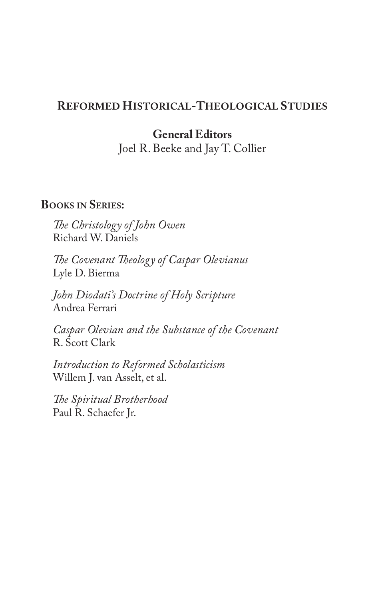## **REFORMED HISTORICAL-THEOLOGICAL STUDIES**

# **General Editors**

Joel R. Beeke and Jay T. Collier

## **BOOKS IN SERIES:**

*!e Christology of John Owen* Richard W. Daniels

*!e Covenant !eology of Caspar Olevianus* Lyle D. Bierma

*John Diodati's Doctrine of Holy Scripture* Andrea Ferrari

*Caspar Olevian and the Substance of the Covenant* R. Scott Clark

*Introduction to Reformed Scholasticism* Willem J. van Asselt, et al.

*!e Spiritual Brotherhood* Paul R. Schaefer Jr.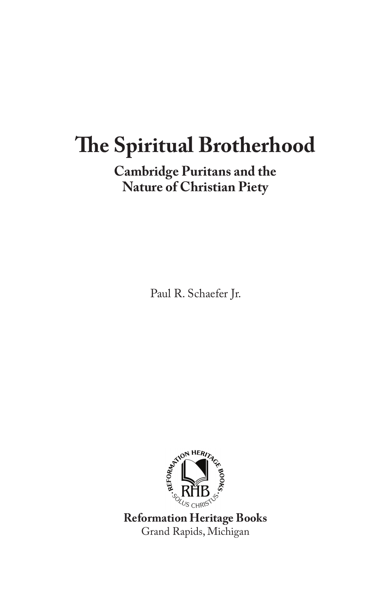## **Cambridge Puritans and the Nature of Christian Piety**

Paul R. Schaefer Jr.



**Reformation Heritage Books** Grand Rapids, Michigan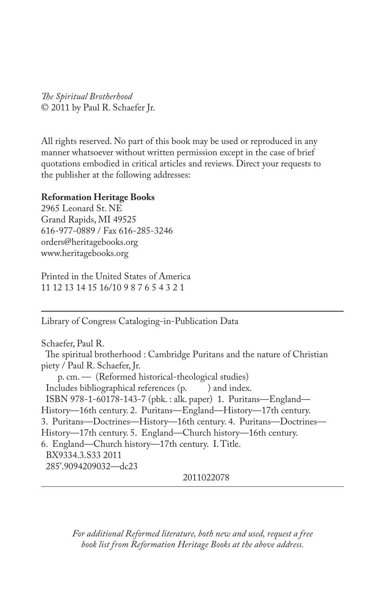*!e Spiritual Brotherhood* © 2011 by Paul R. Schaefer Jr.

All rights reserved. No part of this book may be used or reproduced in any manner whatsoever without written permission except in the case of brief quotations embodied in critical articles and reviews. Direct your requests to the publisher at the following addresses:

### **Reformation Heritage Books**

2965 Leonard St. NE Grand Rapids, MI 49525 616-977-0889 / Fax 616-285-3246 orders@heritagebooks.org www.heritagebooks.org

Printed in the United States of America 11 12 13 14 15 16/10 9 8 7 6 5 4 3 2 1

Library of Congress Cataloging-in-Publication Data

Schaefer, Paul R. The spiritual brotherhood : Cambridge Puritans and the nature of Christian piety / Paul R. Schaefer, Jr. p. cm. — (Reformed historical-theological studies) Includes bibliographical references (p. ) and index. ISBN 978-1-60178-143-7 (pbk. : alk. paper) 1. Puritans—England— History—16th century. 2. Puritans—England—History—17th century. 3. Puritans—Doctrines—History—16th century. 4. Puritans—Doctrines— History—17th century. 5. England—Church history—16th century. 6. England—Church history—17th century. I. Title. BX9334.3.S33 2011 285'.9094209032—dc23

2011022078

*For additional Reformed literature, both new and used, request a free book list from Reformation Heritage Books at the above address.*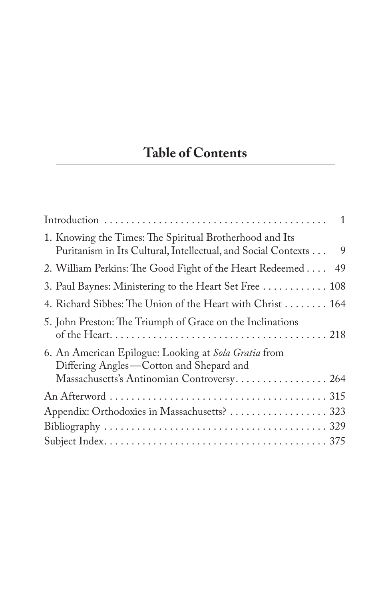# **Table of Contents**

| $\mathbf{1}$                                                                                                                                  |
|-----------------------------------------------------------------------------------------------------------------------------------------------|
| 1. Knowing the Times: The Spiritual Brotherhood and Its<br>Puritanism in Its Cultural, Intellectual, and Social Contexts<br>9                 |
| 2. William Perkins: The Good Fight of the Heart Redeemed<br>49                                                                                |
| 3. Paul Baynes: Ministering to the Heart Set Free  108                                                                                        |
| 4. Richard Sibbes: The Union of the Heart with Christ 164                                                                                     |
| 5. John Preston: The Triumph of Grace on the Inclinations                                                                                     |
| 6. An American Epilogue: Looking at Sola Gratia from<br>Differing Angles-Cotton and Shepard and<br>Massachusetts's Antinomian Controversy 264 |
|                                                                                                                                               |
| Appendix: Orthodoxies in Massachusetts?  323                                                                                                  |
|                                                                                                                                               |
|                                                                                                                                               |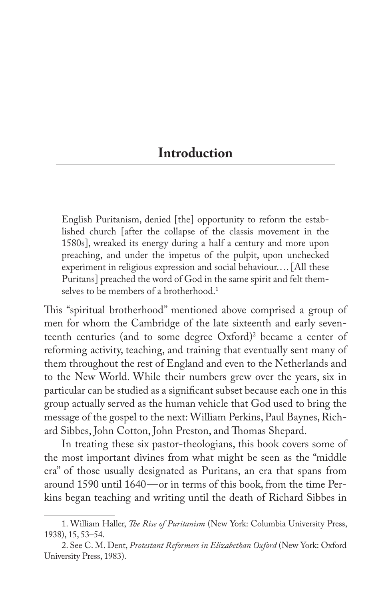# **Introduction**

English Puritanism, denied [the] opportunity to reform the established church [after the collapse of the classis movement in the 1580s], wreaked its energy during a half a century and more upon preaching, and under the impetus of the pulpit, upon unchecked experiment in religious expression and social behaviour.... [All these Puritans] preached the word of God in the same spirit and felt themselves to be members of a brotherhood.<sup>1</sup>

This "spiritual brotherhood" mentioned above comprised a group of men for whom the Cambridge of the late sixteenth and early seventeenth centuries (and to some degree Oxford)<sup>2</sup> became a center of reforming activity, teaching, and training that eventually sent many of them throughout the rest of England and even to the Netherlands and to the New World. While their numbers grew over the years, six in particular can be studied as a significant subset because each one in this group actually served as the human vehicle that God used to bring the message of the gospel to the next: William Perkins, Paul Baynes, Richard Sibbes, John Cotton, John Preston, and Thomas Shepard.

In treating these six pastor-theologians, this book covers some of the most important divines from what might be seen as the "middle era" of those usually designated as Puritans, an era that spans from around 1590 until 1640—or in terms of this book, from the time Perkins began teaching and writing until the death of Richard Sibbes in

<sup>1.</sup> William Haller, *!e Rise of Puritanism* (New York: Columbia University Press, 1938), 15, 53–54.

<sup>2.</sup> See C. M. Dent, *Protestant Reformers in Elizabethan Oxford* (New York: Oxford University Press, 1983).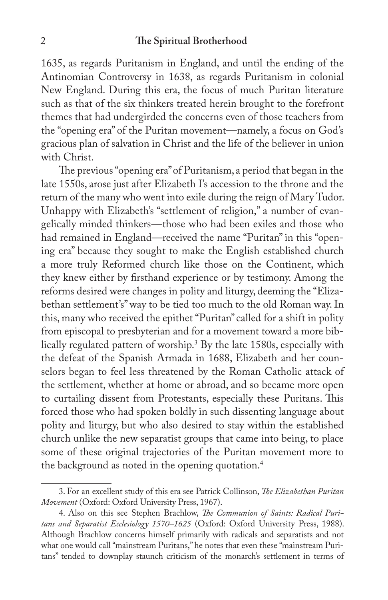1635, as regards Puritanism in England, and until the ending of the Antinomian Controversy in 1638, as regards Puritanism in colonial New England. During this era, the focus of much Puritan literature such as that of the six thinkers treated herein brought to the forefront themes that had undergirded the concerns even of those teachers from the "opening era" of the Puritan movement—namely, a focus on God's gracious plan of salvation in Christ and the life of the believer in union with Christ.

The previous "opening era" of Puritanism, a period that began in the late 1550s, arose just after Elizabeth I's accession to the throne and the return of the many who went into exile during the reign of Mary Tudor. Unhappy with Elizabeth's "settlement of religion," a number of evangelically minded thinkers—those who had been exiles and those who had remained in England—received the name "Puritan" in this "opening era" because they sought to make the English established church a more truly Reformed church like those on the Continent, which they knew either by firsthand experience or by testimony. Among the reforms desired were changes in polity and liturgy, deeming the "Elizabethan settlement's" way to be tied too much to the old Roman way. In this, many who received the epithet "Puritan" called for a shift in polity from episcopal to presbyterian and for a movement toward a more biblically regulated pattern of worship.3 By the late 1580s, especially with the defeat of the Spanish Armada in 1688, Elizabeth and her counselors began to feel less threatened by the Roman Catholic attack of the settlement, whether at home or abroad, and so became more open to curtailing dissent from Protestants, especially these Puritans. This forced those who had spoken boldly in such dissenting language about polity and liturgy, but who also desired to stay within the established church unlike the new separatist groups that came into being, to place some of these original trajectories of the Puritan movement more to the background as noted in the opening quotation.<sup>4</sup>

<sup>3.</sup> For an excellent study of this era see Patrick Collinson, *!e Elizabethan Puritan Movement* (Oxford: Oxford University Press, 1967).

<sup>4.</sup> Also on this see Stephen Brachlow, *!e Communion of Saints: Radical Puritans and Separatist Ecclesiology 1570–1625* (Oxford: Oxford University Press, 1988). Although Brachlow concerns himself primarily with radicals and separatists and not what one would call "mainstream Puritans," he notes that even these "mainstream Puritans" tended to downplay staunch criticism of the monarch's settlement in terms of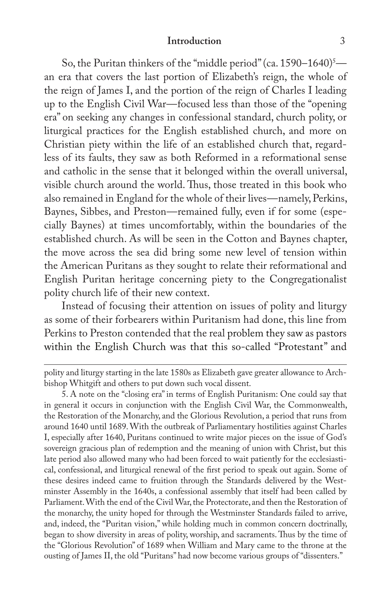#### **Introduction** 3

So, the Puritan thinkers of the "middle period" (ca.  $1590-1640$ )<sup>5</sup> an era that covers the last portion of Elizabeth's reign, the whole of the reign of James I, and the portion of the reign of Charles I leading up to the English Civil War—focused less than those of the "opening era" on seeking any changes in confessional standard, church polity, or liturgical practices for the English established church, and more on Christian piety within the life of an established church that, regardless of its faults, they saw as both Reformed in a reformational sense and catholic in the sense that it belonged within the overall universal, visible church around the world. Thus, those treated in this book who also remained in England for the whole of their lives—namely, Perkins, Baynes, Sibbes, and Preston—remained fully, even if for some (especially Baynes) at times uncomfortably, within the boundaries of the established church. As will be seen in the Cotton and Baynes chapter, the move across the sea did bring some new level of tension within the American Puritans as they sought to relate their reformational and English Puritan heritage concerning piety to the Congregationalist polity church life of their new context.

Instead of focusing their attention on issues of polity and liturgy as some of their forbearers within Puritanism had done, this line from Perkins to Preston contended that the real problem they saw as pastors within the English Church was that this so-called "Protestant" and

polity and liturgy starting in the late 1580s as Elizabeth gave greater allowance to Archbishop Whitgift and others to put down such vocal dissent.

5. A note on the "closing era" in terms of English Puritanism: One could say that in general it occurs in conjunction with the English Civil War, the Commonwealth, the Restoration of the Monarchy, and the Glorious Revolution, a period that runs from around 1640 until 1689. With the outbreak of Parliamentary hostilities against Charles I, especially after 1640, Puritans continued to write major pieces on the issue of God's sovereign gracious plan of redemption and the meaning of union with Christ, but this late period also allowed many who had been forced to wait patiently for the ecclesiastical, confessional, and liturgical renewal of the first period to speak out again. Some of these desires indeed came to fruition through the Standards delivered by the Westminster Assembly in the 1640s, a confessional assembly that itself had been called by Parliament. With the end of the Civil War, the Protectorate, and then the Restoration of the monarchy, the unity hoped for through the Westminster Standards failed to arrive, and, indeed, the "Puritan vision," while holding much in common concern doctrinally, began to show diversity in areas of polity, worship, and sacraments. Thus by the time of the "Glorious Revolution" of 1689 when William and Mary came to the throne at the ousting of James II, the old "Puritans" had now become various groups of "dissenters."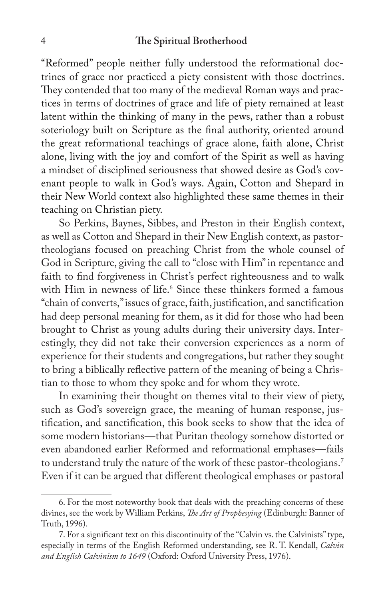"Reformed" people neither fully understood the reformational doctrines of grace nor practiced a piety consistent with those doctrines. They contended that too many of the medieval Roman ways and practices in terms of doctrines of grace and life of piety remained at least latent within the thinking of many in the pews, rather than a robust soteriology built on Scripture as the final authority, oriented around the great reformational teachings of grace alone, faith alone, Christ alone, living with the joy and comfort of the Spirit as well as having a mindset of disciplined seriousness that showed desire as God's covenant people to walk in God's ways. Again, Cotton and Shepard in their New World context also highlighted these same themes in their teaching on Christian piety.

So Perkins, Baynes, Sibbes, and Preston in their English context, as well as Cotton and Shepard in their New English context, as pastortheologians focused on preaching Christ from the whole counsel of God in Scripture, giving the call to "close with Him" in repentance and faith to find forgiveness in Christ's perfect righteousness and to walk with Him in newness of life.<sup>6</sup> Since these thinkers formed a famous "chain of converts," issues of grace, faith, justification, and sanctification had deep personal meaning for them, as it did for those who had been brought to Christ as young adults during their university days. Interestingly, they did not take their conversion experiences as a norm of experience for their students and congregations, but rather they sought to bring a biblically reflective pattern of the meaning of being a Christian to those to whom they spoke and for whom they wrote.

In examining their thought on themes vital to their view of piety, such as God's sovereign grace, the meaning of human response, justification, and sanctification, this book seeks to show that the idea of some modern historians—that Puritan theology somehow distorted or even abandoned earlier Reformed and reformational emphases—fails to understand truly the nature of the work of these pastor-theologians.<sup>7</sup> Even if it can be argued that different theological emphases or pastoral

<sup>6.</sup> For the most noteworthy book that deals with the preaching concerns of these divines, see the work by William Perkins, *!e Art of Prophesying* (Edinburgh: Banner of Truth, 1996).

<sup>7.</sup> For a significant text on this discontinuity of the "Calvin vs. the Calvinists" type, especially in terms of the English Reformed understanding, see R. T. Kendall, *Calvin and English Calvinism to 1649* (Oxford: Oxford University Press, 1976).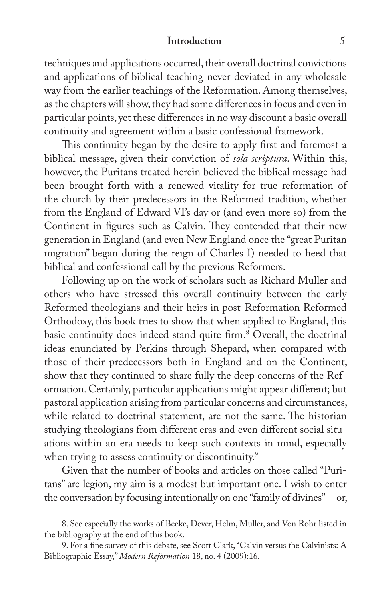#### **Introduction** 5

techniques and applications occurred, their overall doctrinal convictions and applications of biblical teaching never deviated in any wholesale way from the earlier teachings of the Reformation. Among themselves, as the chapters will show, they had some differences in focus and even in particular points, yet these differences in no way discount a basic overall continuity and agreement within a basic confessional framework.

This continuity began by the desire to apply first and foremost a biblical message, given their conviction of *sola scriptura*. Within this, however, the Puritans treated herein believed the biblical message had been brought forth with a renewed vitality for true reformation of the church by their predecessors in the Reformed tradition, whether from the England of Edward VI's day or (and even more so) from the Continent in figures such as Calvin. They contended that their new generation in England (and even New England once the "great Puritan migration" began during the reign of Charles I) needed to heed that biblical and confessional call by the previous Reformers.

Following up on the work of scholars such as Richard Muller and others who have stressed this overall continuity between the early Reformed theologians and their heirs in post-Reformation Reformed Orthodoxy, this book tries to show that when applied to England, this basic continuity does indeed stand quite firm.<sup>8</sup> Overall, the doctrinal ideas enunciated by Perkins through Shepard, when compared with those of their predecessors both in England and on the Continent, show that they continued to share fully the deep concerns of the Reformation. Certainly, particular applications might appear different; but pastoral application arising from particular concerns and circumstances, while related to doctrinal statement, are not the same. The historian studying theologians from different eras and even different social situations within an era needs to keep such contexts in mind, especially when trying to assess continuity or discontinuity.<sup>9</sup>

Given that the number of books and articles on those called "Puritans" are legion, my aim is a modest but important one. I wish to enter the conversation by focusing intentionally on one "family of divines"—or,

<sup>8.</sup> See especially the works of Beeke, Dever, Helm, Muller, and Von Rohr listed in the bibliography at the end of this book.

<sup>9.</sup> For a fine survey of this debate, see Scott Clark, "Calvin versus the Calvinists: A Bibliographic Essay," *Modern Reformation* 18, no. 4 (2009):16.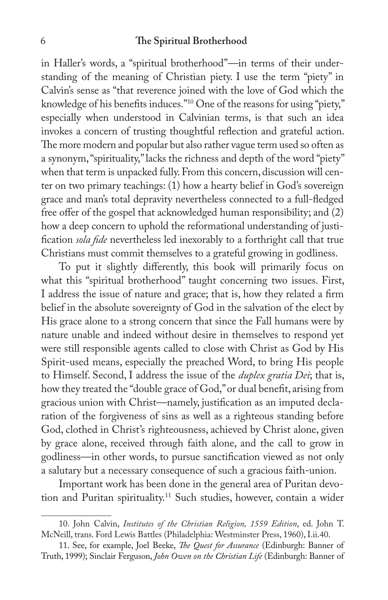in Haller's words, a "spiritual brotherhood"—in terms of their understanding of the meaning of Christian piety. I use the term "piety" in Calvin's sense as "that reverence joined with the love of God which the knowledge of his benefits induces."<sup>10</sup> One of the reasons for using "piety," especially when understood in Calvinian terms, is that such an idea invokes a concern of trusting thoughtful reflection and grateful action. The more modern and popular but also rather vague term used so often as a synonym, "spirituality," lacks the richness and depth of the word "piety" when that term is unpacked fully. From this concern, discussion will center on two primary teachings: (1) how a hearty belief in God's sovereign grace and man's total depravity nevertheless connected to a full-fledged free offer of the gospel that acknowledged human responsibility; and (2) how a deep concern to uphold the reformational understanding of justi fication *sola fide* nevertheless led inexorably to a forthright call that true Christians must commit themselves to a grateful growing in godliness.

To put it slightly differently, this book will primarily focus on what this "spiritual brotherhood" taught concerning two issues. First, I address the issue of nature and grace; that is, how they related a firm belief in the absolute sovereignty of God in the salvation of the elect by His grace alone to a strong concern that since the Fall humans were by nature unable and indeed without desire in themselves to respond yet were still responsible agents called to close with Christ as God by His Spirit-used means, especially the preached Word, to bring His people to Himself. Second, I address the issue of the *duplex gratia Dei*; that is, how they treated the "double grace of God," or dual benefit, arising from gracious union with Christ—namely, justification as an imputed declaration of the forgiveness of sins as well as a righteous standing before God, clothed in Christ's righteousness, achieved by Christ alone, given by grace alone, received through faith alone, and the call to grow in godliness—in other words, to pursue sanctification viewed as not only a salutary but a necessary consequence of such a gracious faith-union.

Important work has been done in the general area of Puritan devotion and Puritan spirituality.<sup>11</sup> Such studies, however, contain a wider

<sup>10.</sup> John Calvin, *Institutes of the Christian Religion, 1559 Edition*, ed. John T. McNeill, trans. Ford Lewis Battles (Philadelphia: Westminster Press, 1960), I.ii.40.

<sup>11.</sup> See, for example, Joel Beeke, *!e Quest for Assurance* (Edinburgh: Banner of Truth, 1999); Sinclair Ferguson, *John Owen on the Christian Life* (Edinburgh: Banner of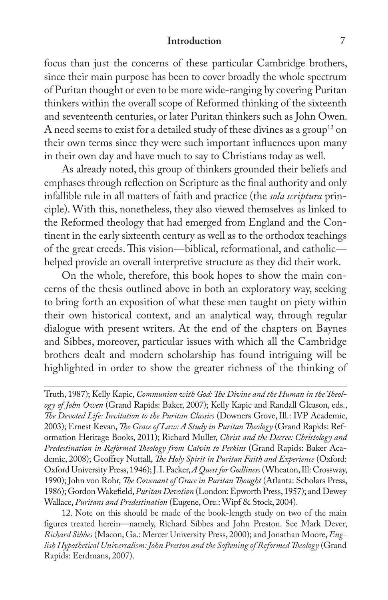#### **Introduction** 7

focus than just the concerns of these particular Cambridge brothers, since their main purpose has been to cover broadly the whole spectrum of Puritan thought or even to be more wide-ranging by covering Puritan thinkers within the overall scope of Reformed thinking of the sixteenth and seventeenth centuries, or later Puritan thinkers such as John Owen. A need seems to exist for a detailed study of these divines as a group<sup>12</sup> on their own terms since they were such important influences upon many in their own day and have much to say to Christians today as well.

As already noted, this group of thinkers grounded their beliefs and emphases through reflection on Scripture as the final authority and only infallible rule in all matters of faith and practice (the *sola scriptura* principle). With this, nonetheless, they also viewed themselves as linked to the Reformed theology that had emerged from England and the Continent in the early sixteenth century as well as to the orthodox teachings of the great creeds. This vision—biblical, reformational, and catholic helped provide an overall interpretive structure as they did their work.

On the whole, therefore, this book hopes to show the main concerns of the thesis outlined above in both an exploratory way, seeking to bring forth an exposition of what these men taught on piety within their own historical context, and an analytical way, through regular dialogue with present writers. At the end of the chapters on Baynes and Sibbes, moreover, particular issues with which all the Cambridge brothers dealt and modern scholarship has found intriguing will be highlighted in order to show the greater richness of the thinking of

Truth, 1987); Kelly Kapic, *Communion with God: !e Divine and the Human in the !eology of John Owen* (Grand Rapids: Baker, 2007); Kelly Kapic and Randall Gleason, eds., *!e Devoted Life: Invitation to the Puritan Classics* (Downers Grove, Ill.: IVP Academic, 2003); Ernest Kevan, *!e Grace of Law: A Study in Puritan !eology* (Grand Rapids: Reformation Heritage Books, 2011); Richard Muller, *Christ and the Decree: Christology and Predestination in Reformed !eology from Calvin to Perkins* (Grand Rapids: Baker Academic, 2008); Geoffrey Nuttall, *The Holy Spirit in Puritan Faith and Experience* (Oxford: Oxford University Press, 1946); J. I. Packer, *A Quest for Godliness* (Wheaton, Ill: Crossway, 1990); John von Rohr, *!e Covenant of Grace in Puritan !ought* (Atlanta: Scholars Press, 1986); Gordon Wakefield, *Puritan Devotion* (London: Epworth Press, 1957); and Dewey Wallace, *Puritans and Predestination* (Eugene, Ore.: Wipf & Stock, 2004).

12. Note on this should be made of the book-length study on two of the main figures treated herein-namely, Richard Sibbes and John Preston. See Mark Dever, *Richard Sibbes* (Macon, Ga.: Mercer University Press, 2000); and Jonathan Moore, *English Hypothetical Universalism: John Preston and the Softening of Reformed !eology* (Grand Rapids: Eerdmans, 2007).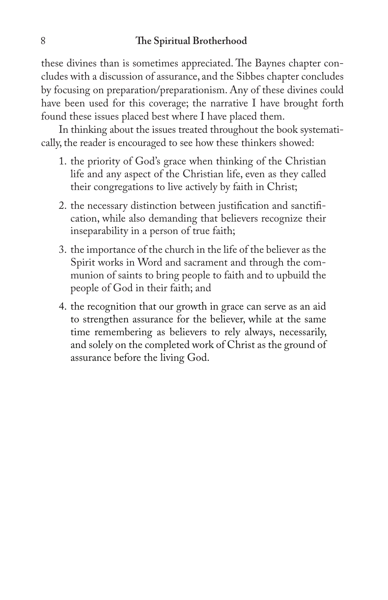these divines than is sometimes appreciated. The Baynes chapter concludes with a discussion of assurance, and the Sibbes chapter concludes by focusing on preparation/preparationism. Any of these divines could have been used for this coverage; the narrative I have brought forth found these issues placed best where I have placed them.

In thinking about the issues treated throughout the book systematically, the reader is encouraged to see how these thinkers showed:

- 1. the priority of God's grace when thinking of the Christian life and any aspect of the Christian life, even as they called their congregations to live actively by faith in Christ;
- 2. the necessary distinction between justification and sanctification, while also demanding that believers recognize their inseparability in a person of true faith;
- 3. the importance of the church in the life of the believer as the Spirit works in Word and sacrament and through the communion of saints to bring people to faith and to upbuild the people of God in their faith; and
- 4. the recognition that our growth in grace can serve as an aid to strengthen assurance for the believer, while at the same time remembering as believers to rely always, necessarily, and solely on the completed work of Christ as the ground of assurance before the living God.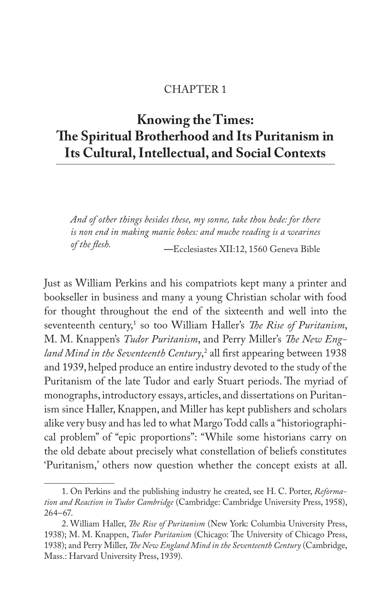### CHAPTER 1

# **Knowing the Times: !e Spiritual Brotherhood and Its Puritanism in Its Cultural, Intellectual, and Social Contexts**

*And of other things besides these, my sonne, take thou hede: for there*  is non end in making manie bokes: and muche reading is a wearines *of the #esh.* **—**Ecclesiastes XII:12, 1560 Geneva Bible

Just as William Perkins and his compatriots kept many a printer and bookseller in business and many a young Christian scholar with food for thought throughout the end of the sixteenth and well into the seventeenth century,<sup>1</sup> so too William Haller's *The Rise of Puritanism*, M. M. Knappen's *Tudor Puritanism*, and Perry Miller's *!e New England Mind in the Seventeenth Century*,<sup>2</sup> all first appearing between 1938 and 1939, helped produce an entire industry devoted to the study of the Puritanism of the late Tudor and early Stuart periods. The myriad of monographs, introductory essays, articles, and dissertations on Puritanism since Haller, Knappen, and Miller has kept publishers and scholars alike very busy and has led to what Margo Todd calls a "historiographical problem" of "epic proportions": "While some historians carry on the old debate about precisely what constellation of beliefs constitutes 'Puritanism,' others now question whether the concept exists at all.

<sup>1.</sup> On Perkins and the publishing industry he created, see H. C. Porter, *Reformation and Reaction in Tudor Cambridge* (Cambridge: Cambridge University Press, 1958), 264–67.

<sup>2.</sup> William Haller, *!e Rise of Puritanism* (New York: Columbia University Press, 1938); M. M. Knappen, *Tudor Puritanism* (Chicago: The University of Chicago Press, 1938); and Perry Miller, *!e New England Mind in the Seventeenth Century* (Cambridge, Mass.: Harvard University Press, 1939).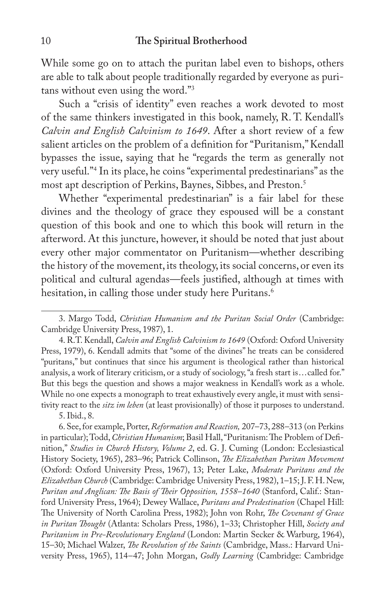While some go on to attach the puritan label even to bishops, others are able to talk about people traditionally regarded by everyone as puritans without even using the word."3

Such a "crisis of identity" even reaches a work devoted to most of the same thinkers investigated in this book, namely, R. T. Kendall's *Calvin and English Calvinism to 1649*. After a short review of a few salient articles on the problem of a definition for "Puritanism," Kendall bypasses the issue, saying that he "regards the term as generally not very useful."4 In its place, he coins "experimental predestinarians" as the most apt description of Perkins, Baynes, Sibbes, and Preston.5

Whether "experimental predestinarian" is a fair label for these divines and the theology of grace they espoused will be a constant question of this book and one to which this book will return in the afterword. At this juncture, however, it should be noted that just about every other major commentator on Puritanism—whether describing the history of the movement, its theology, its social concerns, or even its political and cultural agendas—feels justified, although at times with hesitation, in calling those under study here Puritans.<sup>6</sup>

5. Ibid., 8.

6. See, for example, Porter, *Reformation and Reaction,* 207–73, 288–313 (on Perkins in particular); Todd, *Christian Humanism*; Basil Hall, "Puritanism: The Problem of Definition," *Studies in Church History, Volume 2*, ed. G. J. Cuming (London: Ecclesiastical History Society, 1965), 283–96; Patrick Collinson, *!e Elizabethan Puritan Movement* (Oxford: Oxford University Press, 1967), 13; Peter Lake, *Moderate Puritans and the Elizabethan Church* (Cambridge: Cambridge University Press, 1982), 1–15; J. F. H. New, *Puritan and Anglican: !e Basis of !eir Opposition, 1558–1640* (Stanford, Calif.: Stanford University Press, 1964); Dewey Wallace, *Puritans and Predestination* (Chapel Hill: The University of North Carolina Press, 1982); John von Rohr, *The Covenant of Grace in Puritan !ought* (Atlanta: Scholars Press, 1986), 1–33; Christopher Hill, *Society and Puritanism in Pre-Revolutionary England* (London: Martin Secker & Warburg, 1964), 15–30; Michael Walzer, *!e Revolution of the Saints* (Cambridge, Mass.: Harvard University Press, 1965), 114–47; John Morgan, *Godly Learning* (Cambridge: Cambridge

<sup>3.</sup> Margo Todd, *Christian Humanism and the Puritan Social Order* (Cambridge: Cambridge University Press, 1987), 1.

<sup>4.</sup> R.T. Kendall, *Calvin and English Calvinism to 1649* (Oxford: Oxford University Press, 1979), 6. Kendall admits that "some of the divines" he treats can be considered "puritans," but continues that since his argument is theological rather than historical analysis, a work of literary criticism, or a study of sociology, "a fresh start is...called for." But this begs the question and shows a major weakness in Kendall's work as a whole. While no one expects a monograph to treat exhaustively every angle, it must with sensitivity react to the *sitz im leben* (at least provisionally) of those it purposes to understand.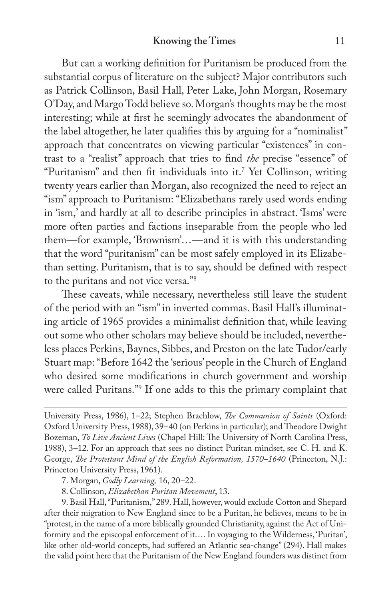But can a working definition for Puritanism be produced from the substantial corpus of literature on the subject? Major contributors such as Patrick Collinson, Basil Hall, Peter Lake, John Morgan, Rosemary O'Day, and Margo Todd believe so. Morgan's thoughts may be the most interesting; while at first he seemingly advocates the abandonment of the label altogether, he later qualifies this by arguing for a "nominalist" approach that concentrates on viewing particular "existences" in contrast to a "realist" approach that tries to find *the* precise "essence" of "Puritanism" and then fit individuals into it.<sup>7</sup> Yet Collinson, writing twenty years earlier than Morgan, also recognized the need to reject an "ism" approach to Puritanism: "Elizabethans rarely used words ending in 'ism,' and hardly at all to describe principles in abstract. 'Isms' were more often parties and factions inseparable from the people who led them—for example, 'Brownism'...—and it is with this understanding that the word "puritanism" can be most safely employed in its Elizabethan setting. Puritanism, that is to say, should be defined with respect to the puritans and not vice versa."8

These caveats, while necessary, nevertheless still leave the student of the period with an "ism" in inverted commas. Basil Hall's illuminating article of 1965 provides a minimalist definition that, while leaving out some who other scholars may believe should be included, nevertheless places Perkins, Baynes, Sibbes, and Preston on the late Tudor/early Stuart map: "Before 1642 the 'serious' people in the Church of England who desired some modifications in church government and worship were called Puritans."9 If one adds to this the primary complaint that

7. Morgan, *Godly Learning,* 16, 20–22.

8. Collinson, *Elizabethan Puritan Movement*, 13.

9. Basil Hall, "Puritanism," 289. Hall, however, would exclude Cotton and Shepard after their migration to New England since to be a Puritan, he believes, means to be in "protest, in the name of a more biblically grounded Christianity, against the Act of Uniformity and the episcopal enforcement of it.... In voyaging to the Wilderness, 'Puritan', like other old-world concepts, had suffered an Atlantic sea-change" (294). Hall makes the valid point here that the Puritanism of the New England founders was distinct from

University Press, 1986), 1–22; Stephen Brachlow, *!e Communion of Saints* (Oxford: Oxford University Press, 1988), 39-40 (on Perkins in particular); and Theodore Dwight Bozeman, *To Live Ancient Lives* (Chapel Hill: The University of North Carolina Press, 1988), 3–12. For an approach that sees no distinct Puritan mindset, see C. H. and K. George, *!e Protestant Mind of the English Reformation, 1570–1640* (Princeton, N.J.: Princeton University Press, 1961).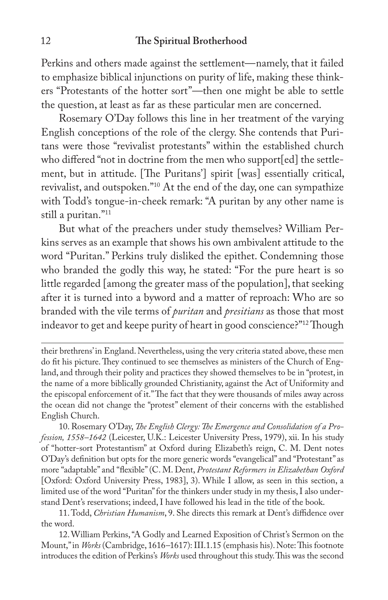Perkins and others made against the settlement—namely, that it failed to emphasize biblical injunctions on purity of life, making these thinkers "Protestants of the hotter sort"—then one might be able to settle the question, at least as far as these particular men are concerned.

Rosemary O'Day follows this line in her treatment of the varying English conceptions of the role of the clergy. She contends that Puritans were those "revivalist protestants" within the established church who differed "not in doctrine from the men who support[ed] the settlement, but in attitude. [The Puritans'] spirit [was] essentially critical, revivalist, and outspoken."10 At the end of the day, one can sympathize with Todd's tongue-in-cheek remark: "A puritan by any other name is still a puritan."11

But what of the preachers under study themselves? William Perkins serves as an example that shows his own ambivalent attitude to the word "Puritan." Perkins truly disliked the epithet. Condemning those who branded the godly this way, he stated: "For the pure heart is so little regarded [among the greater mass of the population], that seeking after it is turned into a byword and a matter of reproach: Who are so branded with the vile terms of *puritan* and *presitians* as those that most indeavor to get and keepe purity of heart in good conscience?"<sup>12</sup> Though

their brethrens' in England. Nevertheless, using the very criteria stated above, these men do fit his picture. They continued to see themselves as ministers of the Church of England, and through their polity and practices they showed themselves to be in "protest, in the name of a more biblically grounded Christianity, against the Act of Uniformity and the episcopal enforcement of it." The fact that they were thousands of miles away across the ocean did not change the "protest" element of their concerns with the established English Church.

10. Rosemary O'Day, *!e English Clergy: !e Emergence and Consolidation of a Profession, 1558–1642* (Leicester, U.K.: Leicester University Press, 1979), xii. In his study of "hotter-sort Protestantism" at Oxford during Elizabeth's reign, C. M. Dent notes O'Day's definition but opts for the more generic words "evangelical" and "Protestant" as more "adaptable" and "flexible" (C. M. Dent, *Protestant Reformers in Elizabethan Oxford* [Oxford: Oxford University Press, 1983], 3). While I allow, as seen in this section, a limited use of the word "Puritan" for the thinkers under study in my thesis, I also understand Dent's reservations; indeed, I have followed his lead in the title of the book.

11. Todd, *Christian Humanism*, 9. She directs this remark at Dent's diffidence over the word.

12. William Perkins, "A Godly and Learned Exposition of Christ's Sermon on the Mount," in *Works* (Cambridge, 1616–1617): III.1.15 (emphasis his). Note: This footnote introduces the edition of Perkins's Works used throughout this study. This was the second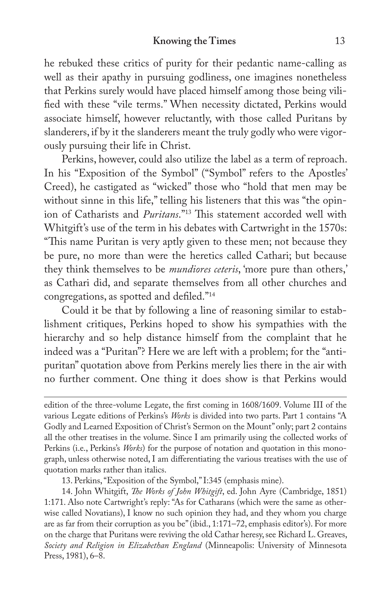he rebuked these critics of purity for their pedantic name-calling as well as their apathy in pursuing godliness, one imagines nonetheless that Perkins surely would have placed himself among those being vili fied with these "vile terms." When necessity dictated, Perkins would associate himself, however reluctantly, with those called Puritans by slanderers, if by it the slanderers meant the truly godly who were vigorously pursuing their life in Christ.

Perkins, however, could also utilize the label as a term of reproach. In his "Exposition of the Symbol" ("Symbol" refers to the Apostles' Creed), he castigated as "wicked" those who "hold that men may be without sinne in this life," telling his listeners that this was "the opinion of Catharists and *Puritans*."<sup>13</sup> This statement accorded well with Whitgift's use of the term in his debates with Cartwright in the 1570s: "This name Puritan is very aptly given to these men; not because they be pure, no more than were the heretics called Cathari; but because they think themselves to be *mundiores ceteris*, 'more pure than others,' as Cathari did, and separate themselves from all other churches and congregations, as spotted and defiled."<sup>14</sup>

Could it be that by following a line of reasoning similar to establishment critiques, Perkins hoped to show his sympathies with the hierarchy and so help distance himself from the complaint that he indeed was a "Puritan"? Here we are left with a problem; for the "antipuritan" quotation above from Perkins merely lies there in the air with no further comment. One thing it does show is that Perkins would

13. Perkins, "Exposition of the Symbol," I:345 (emphasis mine).

edition of the three-volume Legate, the first coming in 1608/1609. Volume III of the various Legate editions of Perkins's *Works* is divided into two parts. Part 1 contains "A Godly and Learned Exposition of Christ's Sermon on the Mount" only; part 2 contains all the other treatises in the volume. Since I am primarily using the collected works of Perkins (i.e., Perkins's *Works*) for the purpose of notation and quotation in this monograph, unless otherwise noted, I am differentiating the various treatises with the use of quotation marks rather than italics.

<sup>14.</sup> John Whitgift, *!e Works of John Whitgift*, ed. John Ayre (Cambridge, 1851) 1:171. Also note Cartwright's reply: "As for Catharans (which were the same as otherwise called Novatians), I know no such opinion they had, and they whom you charge are as far from their corruption as you be" (ibid., 1:171–72, emphasis editor's). For more on the charge that Puritans were reviving the old Cathar heresy, see Richard L. Greaves, *Society and Religion in Elizabethan England* (Minneapolis: University of Minnesota Press, 1981), 6–8.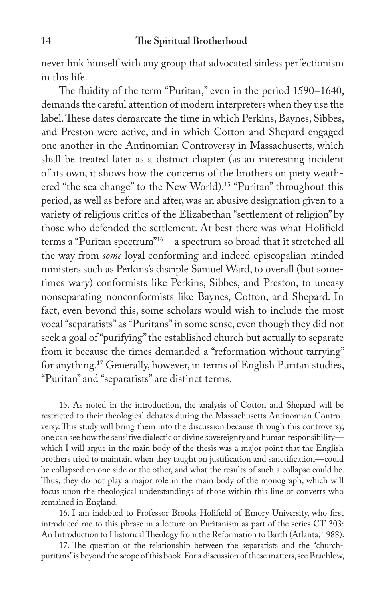never link himself with any group that advocated sinless perfectionism in this life.

The fluidity of the term "Puritan," even in the period 1590–1640, demands the careful attention of modern interpreters when they use the label. These dates demarcate the time in which Perkins, Baynes, Sibbes, and Preston were active, and in which Cotton and Shepard engaged one another in the Antinomian Controversy in Massachusetts, which shall be treated later as a distinct chapter (as an interesting incident of its own, it shows how the concerns of the brothers on piety weathered "the sea change" to the New World).15 "Puritan" throughout this period, as well as before and after, was an abusive designation given to a variety of religious critics of the Elizabethan "settlement of religion" by those who defended the settlement. At best there was what Holifield terms a "Puritan spectrum"16—a spectrum so broad that it stretched all the way from *some* loyal conforming and indeed episcopalian-minded ministers such as Perkins's disciple Samuel Ward, to overall (but sometimes wary) conformists like Perkins, Sibbes, and Preston, to uneasy nonseparating nonconformists like Baynes, Cotton, and Shepard. In fact, even beyond this, some scholars would wish to include the most vocal "separatists" as "Puritans" in some sense, even though they did not seek a goal of "purifying" the established church but actually to separate from it because the times demanded a "reformation without tarrying" for anything.17 Generally, however, in terms of English Puritan studies, "Puritan" and "separatists" are distinct terms.

<sup>15.</sup> As noted in the introduction, the analysis of Cotton and Shepard will be restricted to their theological debates during the Massachusetts Antinomian Controversy. This study will bring them into the discussion because through this controversy, one can see how the sensitive dialectic of divine sovereignty and human responsibility which I will argue in the main body of the thesis was a major point that the English brothers tried to maintain when they taught on justification and sanctification—could be collapsed on one side or the other, and what the results of such a collapse could be. Thus, they do not play a major role in the main body of the monograph, which will focus upon the theological understandings of those within this line of converts who remained in England.

<sup>16.</sup> I am indebted to Professor Brooks Holifield of Emory University, who first introduced me to this phrase in a lecture on Puritanism as part of the series CT 303: An Introduction to Historical Theology from the Reformation to Barth (Atlanta, 1988).

<sup>17.</sup> The question of the relationship between the separatists and the "churchpuritans" is beyond the scope of this book. For a discussion of these matters, see Brachlow,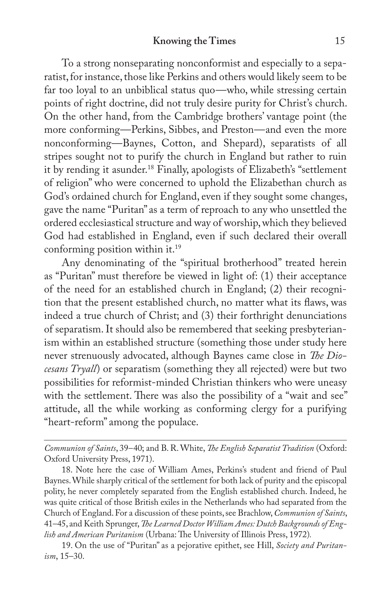To a strong nonseparating nonconformist and especially to a separatist, for instance, those like Perkins and others would likely seem to be far too loyal to an unbiblical status quo—who, while stressing certain points of right doctrine, did not truly desire purity for Christ's church. On the other hand, from the Cambridge brothers' vantage point (the more conforming—Perkins, Sibbes, and Preston—and even the more nonconforming—Baynes, Cotton, and Shepard), separatists of all stripes sought not to purify the church in England but rather to ruin it by rending it asunder.<sup>18</sup> Finally, apologists of Elizabeth's "settlement of religion" who were concerned to uphold the Elizabethan church as God's ordained church for England, even if they sought some changes, gave the name "Puritan" as a term of reproach to any who unsettled the ordered ecclesiastical structure and way of worship, which they believed God had established in England, even if such declared their overall conforming position within it.19

Any denominating of the "spiritual brotherhood" treated herein as "Puritan" must therefore be viewed in light of: (1) their acceptance of the need for an established church in England; (2) their recognition that the present established church, no matter what its flaws, was indeed a true church of Christ; and (3) their forthright denunciations of separatism. It should also be remembered that seeking presbyterianism within an established structure (something those under study here never strenuously advocated, although Baynes came close in *The Diocesans Tryall*) or separatism (something they all rejected) were but two possibilities for reformist-minded Christian thinkers who were uneasy with the settlement. There was also the possibility of a "wait and see" attitude, all the while working as conforming clergy for a purifying "heart-reform" among the populace.

*Communion of Saints*, 39–40; and B. R. White, *!e English Separatist Tradition* (Oxford: Oxford University Press, 1971).

18. Note here the case of William Ames, Perkins's student and friend of Paul Baynes. While sharply critical of the settlement for both lack of purity and the episcopal polity, he never completely separated from the English established church. Indeed, he was quite critical of those British exiles in the Netherlands who had separated from the Church of England. For a discussion of these points, see Brachlow, *Communion of Saints*, 41–45, and Keith Sprunger, *!e Learned Doctor William Ames: Dutch Backgrounds of English and American Puritanism* (Urbana: The University of Illinois Press, 1972).

19. On the use of "Puritan" as a pejorative epithet, see Hill, *Society and Puritanism*, 15–30.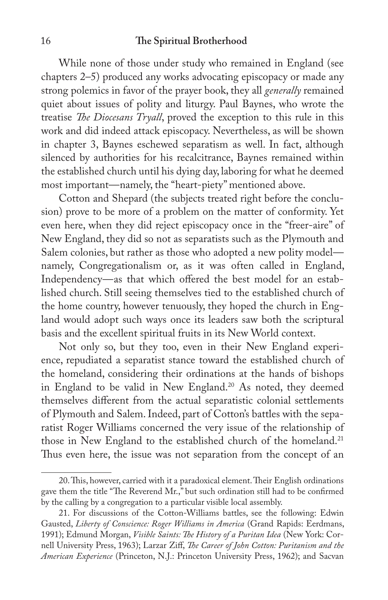While none of those under study who remained in England (see chapters 2–5) produced any works advocating episcopacy or made any strong polemics in favor of the prayer book, they all *generally* remained quiet about issues of polity and liturgy. Paul Baynes, who wrote the treatise *The Diocesans Tryall*, proved the exception to this rule in this work and did indeed attack episcopacy. Nevertheless, as will be shown in chapter 3, Baynes eschewed separatism as well. In fact, although silenced by authorities for his recalcitrance, Baynes remained within the established church until his dying day, laboring for what he deemed most important—namely, the "heart-piety" mentioned above.

Cotton and Shepard (the subjects treated right before the conclusion) prove to be more of a problem on the matter of conformity. Yet even here, when they did reject episcopacy once in the "freer-aire" of New England, they did so not as separatists such as the Plymouth and Salem colonies, but rather as those who adopted a new polity model namely, Congregationalism or, as it was often called in England, Independency—as that which offered the best model for an established church. Still seeing themselves tied to the established church of the home country, however tenuously, they hoped the church in England would adopt such ways once its leaders saw both the scriptural basis and the excellent spiritual fruits in its New World context.

Not only so, but they too, even in their New England experience, repudiated a separatist stance toward the established church of the homeland, considering their ordinations at the hands of bishops in England to be valid in New England.<sup>20</sup> As noted, they deemed themselves different from the actual separatistic colonial settlements of Plymouth and Salem. Indeed, part of Cotton's battles with the separatist Roger Williams concerned the very issue of the relationship of those in New England to the established church of the homeland.<sup>21</sup> Thus even here, the issue was not separation from the concept of an

<sup>20.</sup> This, however, carried with it a paradoxical element. Their English ordinations gave them the title "The Reverend Mr.," but such ordination still had to be confirmed by the calling by a congregation to a particular visible local assembly.

<sup>21.</sup> For discussions of the Cotton-Williams battles, see the following: Edwin Gausted, *Liberty of Conscience: Roger Williams in America* (Grand Rapids: Eerdmans, 1991); Edmund Morgan, *Visible Saints: !e History of a Puritan Idea* (New York: Cornell University Press, 1963); Larzar Ziff, *The Career of John Cotton: Puritanism and the American Experience* (Princeton, N.J.: Princeton University Press, 1962); and Sacvan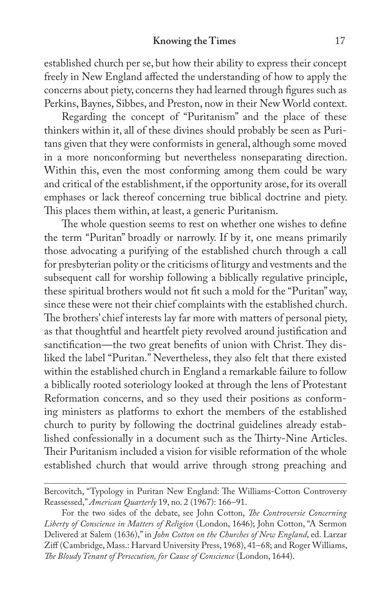### **Knowing the Times** 17

established church per se, but how their ability to express their concept freely in New England affected the understanding of how to apply the concerns about piety, concerns they had learned through figures such as Perkins, Baynes, Sibbes, and Preston, now in their New World context.

Regarding the concept of "Puritanism" and the place of these thinkers within it, all of these divines should probably be seen as Puritans given that they were conformists in general, although some moved in a more nonconforming but nevertheless nonseparating direction. Within this, even the most conforming among them could be wary and critical of the establishment, if the opportunity arose, for its overall emphases or lack thereof concerning true biblical doctrine and piety. This places them within, at least, a generic Puritanism.

The whole question seems to rest on whether one wishes to define the term "Puritan" broadly or narrowly. If by it, one means primarily those advocating a purifying of the established church through a call for presbyterian polity or the criticisms of liturgy and vestments and the subsequent call for worship following a biblically regulative principle, these spiritual brothers would not fit such a mold for the "Puritan" way, since these were not their chief complaints with the established church. The brothers' chief interests lay far more with matters of personal piety, as that thoughtful and heartfelt piety revolved around justification and sanctification—the two great benefits of union with Christ. They disliked the label "Puritan." Nevertheless, they also felt that there existed within the established church in England a remarkable failure to follow a biblically rooted soteriology looked at through the lens of Protestant Reformation concerns, and so they used their positions as conforming ministers as platforms to exhort the members of the established church to purity by following the doctrinal guidelines already established confessionally in a document such as the Thirty-Nine Articles. Their Puritanism included a vision for visible reformation of the whole established church that would arrive through strong preaching and

Bercovitch, "Typology in Puritan New England: The Williams-Cotton Controversy Reassessed," *American Quarterly* 19, no. 2 (1967): 166–91.

For the two sides of the debate, see John Cotton, *!e Controversie Concerning Liberty of Conscience in Matters of Religion* (London, 1646); John Cotton, "A Sermon Delivered at Salem (1636)," in *John Cotton on the Churches of New England*, ed. Larzar Ziff (Cambridge, Mass.: Harvard University Press, 1968), 41-68; and Roger Williams, *!e Bloudy Tenant of Persecution, for Cause of Conscience* (London, 1644).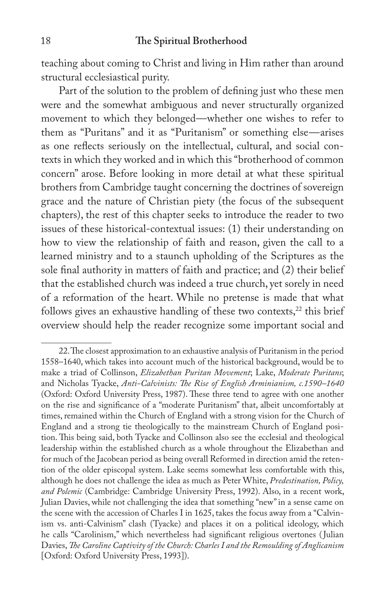teaching about coming to Christ and living in Him rather than around structural ecclesiastical purity.

Part of the solution to the problem of defining just who these men were and the somewhat ambiguous and never structurally organized movement to which they belonged—whether one wishes to refer to them as "Puritans" and it as "Puritanism" or something else—arises as one reflects seriously on the intellectual, cultural, and social contexts in which they worked and in which this "brotherhood of common concern" arose. Before looking in more detail at what these spiritual brothers from Cambridge taught concerning the doctrines of sovereign grace and the nature of Christian piety (the focus of the subsequent chapters), the rest of this chapter seeks to introduce the reader to two issues of these historical-contextual issues: (1) their understanding on how to view the relationship of faith and reason, given the call to a learned ministry and to a staunch upholding of the Scriptures as the sole final authority in matters of faith and practice; and (2) their belief that the established church was indeed a true church, yet sorely in need of a reformation of the heart. While no pretense is made that what follows gives an exhaustive handling of these two contexts, $22$  this brief overview should help the reader recognize some important social and

<sup>22.</sup> The closest approximation to an exhaustive analysis of Puritanism in the period 1558–1640, which takes into account much of the historical background, would be to make a triad of Collinson, *Elizabethan Puritan Movement*; Lake, *Moderate Puritans*; and Nicholas Tyacke, *Anti-Calvinists: !e Rise of English Arminianism, c.1590–1640* (Oxford: Oxford University Press, 1987). These three tend to agree with one another on the rise and significance of a "moderate Puritanism" that, albeit uncomfortably at times, remained within the Church of England with a strong vision for the Church of England and a strong tie theologically to the mainstream Church of England position. This being said, both Tyacke and Collinson also see the ecclesial and theological leadership within the established church as a whole throughout the Elizabethan and for much of the Jacobean period as being overall Reformed in direction amid the retention of the older episcopal system. Lake seems somewhat less comfortable with this, although he does not challenge the idea as much as Peter White, *Predestination, Policy, and Polemic* (Cambridge: Cambridge University Press, 1992). Also, in a recent work, Julian Davies, while not challenging the idea that something "new" in a sense came on the scene with the accession of Charles I in 1625, takes the focus away from a "Calvinism vs. anti-Calvinism" clash (Tyacke) and places it on a political ideology, which he calls "Carolinism," which nevertheless had significant religious overtones (Julian Davies, *!e Caroline Captivity of the Church: Charles I and the Remoulding of Anglicanism* [Oxford: Oxford University Press, 1993]).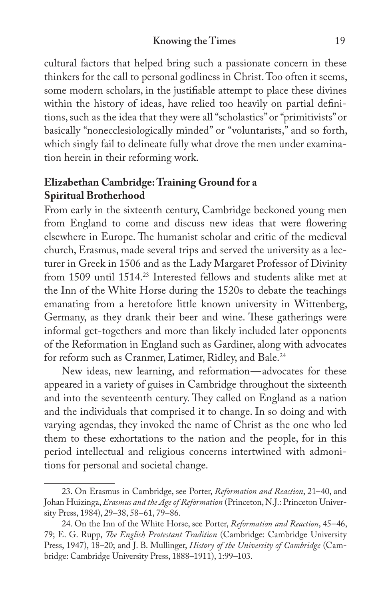cultural factors that helped bring such a passionate concern in these thinkers for the call to personal godliness in Christ. Too often it seems, some modern scholars, in the justifiable attempt to place these divines within the history of ideas, have relied too heavily on partial definitions, such as the idea that they were all "scholastics" or "primitivists" or basically "nonecclesiologically minded" or "voluntarists," and so forth, which singly fail to delineate fully what drove the men under examination herein in their reforming work.

## **Elizabethan Cambridge: Training Ground for a Spiritual Brotherhood**

From early in the sixteenth century, Cambridge beckoned young men from England to come and discuss new ideas that were flowering elsewhere in Europe. The humanist scholar and critic of the medieval church, Erasmus, made several trips and served the university as a lecturer in Greek in 1506 and as the Lady Margaret Professor of Divinity from 1509 until 1514.23 Interested fellows and students alike met at the Inn of the White Horse during the 1520s to debate the teachings emanating from a heretofore little known university in Wittenberg, Germany, as they drank their beer and wine. These gatherings were informal get-togethers and more than likely included later opponents of the Reformation in England such as Gardiner, along with advocates for reform such as Cranmer, Latimer, Ridley, and Bale.<sup>24</sup>

New ideas, new learning, and reformation—advocates for these appeared in a variety of guises in Cambridge throughout the sixteenth and into the seventeenth century. They called on England as a nation and the individuals that comprised it to change. In so doing and with varying agendas, they invoked the name of Christ as the one who led them to these exhortations to the nation and the people, for in this period intellectual and religious concerns intertwined with admonitions for personal and societal change.

<sup>23.</sup> On Erasmus in Cambridge, see Porter, *Reformation and Reaction*, 21–40, and Johan Huizinga, *Erasmus and the Age of Reformation* (Princeton, N.J.: Princeton University Press, 1984), 29–38, 58–61, 79–86.

<sup>24.</sup> On the Inn of the White Horse, see Porter, *Reformation and Reaction*, 45–46, 79; E. G. Rupp, *!e English Protestant Tradition* (Cambridge: Cambridge University Press, 1947), 18–20; and J. B. Mullinger, *History of the University of Cambridge* (Cambridge: Cambridge University Press, 1888–1911), 1:99–103.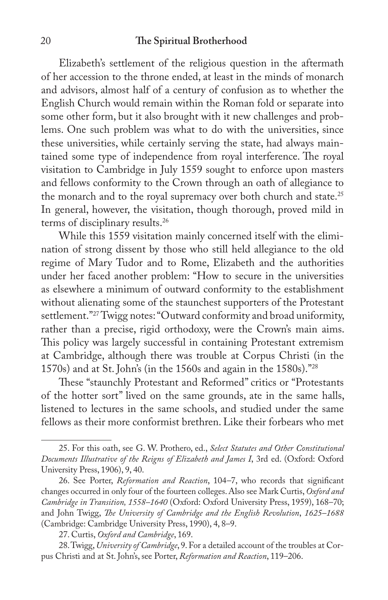Elizabeth's settlement of the religious question in the aftermath of her accession to the throne ended, at least in the minds of monarch and advisors, almost half of a century of confusion as to whether the English Church would remain within the Roman fold or separate into some other form, but it also brought with it new challenges and problems. One such problem was what to do with the universities, since these universities, while certainly serving the state, had always maintained some type of independence from royal interference. The royal visitation to Cambridge in July 1559 sought to enforce upon masters and fellows conformity to the Crown through an oath of allegiance to the monarch and to the royal supremacy over both church and state.<sup>25</sup> In general, however, the visitation, though thorough, proved mild in terms of disciplinary results.26

While this 1559 visitation mainly concerned itself with the elimination of strong dissent by those who still held allegiance to the old regime of Mary Tudor and to Rome, Elizabeth and the authorities under her faced another problem: "How to secure in the universities as elsewhere a minimum of outward conformity to the establishment without alienating some of the staunchest supporters of the Protestant settlement."27 Twigg notes: "Outward conformity and broad uniformity, rather than a precise, rigid orthodoxy, were the Crown's main aims. This policy was largely successful in containing Protestant extremism at Cambridge, although there was trouble at Corpus Christi (in the 1570s) and at St. John's (in the 1560s and again in the 1580s)."28

These "staunchly Protestant and Reformed" critics or "Protestants of the hotter sort" lived on the same grounds, ate in the same halls, listened to lectures in the same schools, and studied under the same fellows as their more conformist brethren. Like their forbears who met

<sup>25.</sup> For this oath, see G. W. Prothero, ed., *Select Statutes and Other Constitutional Documents Illustrative of the Reigns of Elizabeth and James I*, 3rd ed. (Oxford: Oxford University Press, 1906), 9, 40.

<sup>26.</sup> See Porter, *Reformation and Reaction*, 104-7, who records that significant changes occurred in only four of the fourteen colleges. Also see Mark Curtis, *Oxford and Cambridge in Transition, 1558–1640* (Oxford: Oxford University Press, 1959), 168–70; and John Twigg, *!e University of Cambridge and the English Revolution*, *1625–1688* (Cambridge: Cambridge University Press, 1990), 4, 8–9.

<sup>27.</sup> Curtis, *Oxford and Cambridge*, 169.

<sup>28.</sup> Twigg, *University of Cambridge*, 9. For a detailed account of the troubles at Corpus Christi and at St. John's, see Porter, *Reformation and Reaction*, 119–206.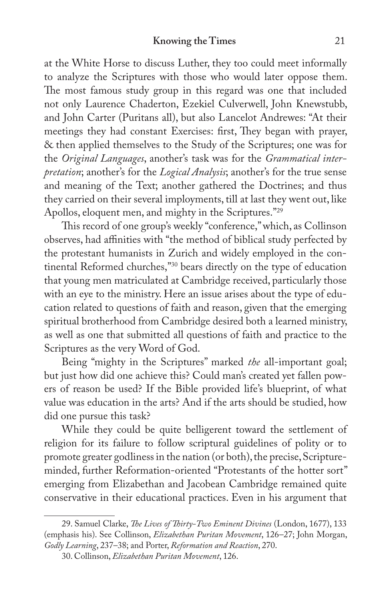at the White Horse to discuss Luther, they too could meet informally to analyze the Scriptures with those who would later oppose them. The most famous study group in this regard was one that included not only Laurence Chaderton, Ezekiel Culverwell, John Knewstubb, and John Carter (Puritans all), but also Lancelot Andrewes: "At their meetings they had constant Exercises: first, They began with prayer, & then applied themselves to the Study of the Scriptures; one was for the *Original Languages*, another's task was for the *Grammatical interpretation*; another's for the *Logical Analysis*; another's for the true sense and meaning of the Text; another gathered the Doctrines; and thus they carried on their several imployments, till at last they went out, like Apollos, eloquent men, and mighty in the Scriptures."29

This record of one group's weekly "conference," which, as Collinson observes, had affinities with "the method of biblical study perfected by the protestant humanists in Zurich and widely employed in the continental Reformed churches,"30 bears directly on the type of education that young men matriculated at Cambridge received, particularly those with an eye to the ministry. Here an issue arises about the type of education related to questions of faith and reason, given that the emerging spiritual brotherhood from Cambridge desired both a learned ministry, as well as one that submitted all questions of faith and practice to the Scriptures as the very Word of God.

Being "mighty in the Scriptures" marked *the* all-important goal; but just how did one achieve this? Could man's created yet fallen powers of reason be used? If the Bible provided life's blueprint, of what value was education in the arts? And if the arts should be studied, how did one pursue this task?

While they could be quite belligerent toward the settlement of religion for its failure to follow scriptural guidelines of polity or to promote greater godliness in the nation (or both), the precise, Scriptureminded, further Reformation-oriented "Protestants of the hotter sort" emerging from Elizabethan and Jacobean Cambridge remained quite conservative in their educational practices. Even in his argument that

<sup>29.</sup> Samuel Clarke, *!e Lives of !irty-Two Eminent Divines* (London, 1677), 133 (emphasis his). See Collinson, *Elizabethan Puritan Movement*, 126–27; John Morgan, *Godly Learning*, 237–38; and Porter, *Reformation and Reaction*, 270.

<sup>30.</sup> Collinson, *Elizabethan Puritan Movement*, 126.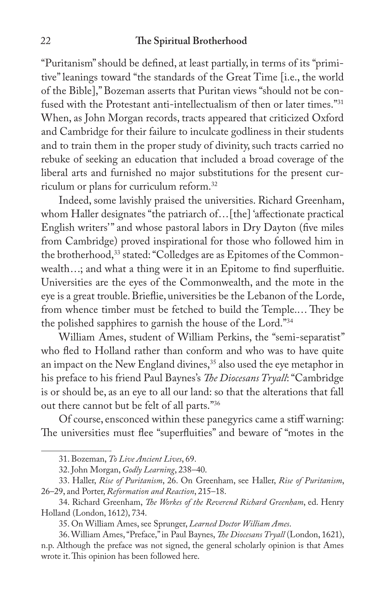"Puritanism" should be defined, at least partially, in terms of its "primitive" leanings toward "the standards of the Great Time [i.e., the world of the Bible]," Bozeman asserts that Puritan views "should not be confused with the Protestant anti-intellectualism of then or later times."31 When, as John Morgan records, tracts appeared that criticized Oxford and Cambridge for their failure to inculcate godliness in their students and to train them in the proper study of divinity, such tracts carried no rebuke of seeking an education that included a broad coverage of the liberal arts and furnished no major substitutions for the present curriculum or plans for curriculum reform.32

Indeed, some lavishly praised the universities. Richard Greenham, whom Haller designates "the patriarch of...[the] 'affectionate practical English writers'" and whose pastoral labors in Dry Dayton (five miles from Cambridge) proved inspirational for those who followed him in the brotherhood,<sup>33</sup> stated: "Colledges are as Epitomes of the Commonwealth...; and what a thing were it in an Epitome to find superfluitie. Universities are the eyes of the Commonwealth, and the mote in the eye is a great trouble. Brieflie, universities be the Lebanon of the Lorde, from whence timber must be fetched to build the Temple.... They be the polished sapphires to garnish the house of the Lord."34

William Ames, student of William Perkins, the "semi-separatist" who fled to Holland rather than conform and who was to have quite an impact on the New England divines,<sup>35</sup> also used the eye metaphor in his preface to his friend Paul Baynes's *!e Diocesans Tryall*: "Cambridge is or should be, as an eye to all our land: so that the alterations that fall out there cannot but be felt of all parts."36

Of course, ensconced within these panegyrics came a stiff warning: The universities must flee "superfluities" and beware of "motes in the

<sup>31.</sup> Bozeman, *To Live Ancient Lives*, 69.

<sup>32.</sup> John Morgan, *Godly Learning*, 238–40.

<sup>33.</sup> Haller, *Rise of Puritanism*, 26. On Greenham, see Haller, *Rise of Puritanism*, 26–29, and Porter, *Reformation and Reaction*, 215–18.

<sup>34.</sup> Richard Greenham, *!e Workes of the Reverend Richard Greenham*, ed. Henry Holland (London, 1612), 734.

<sup>35.</sup> On William Ames, see Sprunger, *Learned Doctor William Ames*.

<sup>36.</sup> William Ames, "Preface," in Paul Baynes, *!e Diocesans Tryall* (London, 1621), n.p. Although the preface was not signed, the general scholarly opinion is that Ames wrote it. This opinion has been followed here.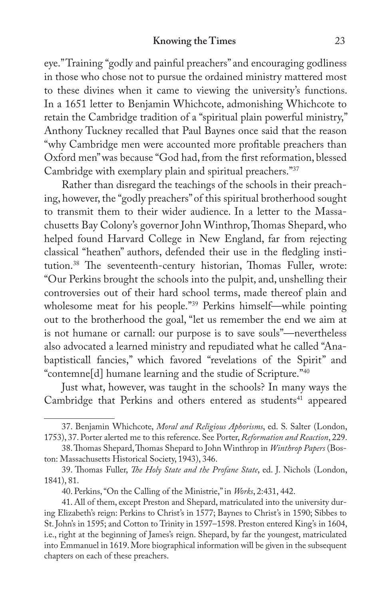eye." Training "godly and painful preachers" and encouraging godliness in those who chose not to pursue the ordained ministry mattered most to these divines when it came to viewing the university's functions. In a 1651 letter to Benjamin Whichcote, admonishing Whichcote to retain the Cambridge tradition of a "spiritual plain powerful ministry," Anthony Tuckney recalled that Paul Baynes once said that the reason "why Cambridge men were accounted more profitable preachers than Oxford men" was because "God had, from the first reformation, blessed Cambridge with exemplary plain and spiritual preachers."37

Rather than disregard the teachings of the schools in their preaching, however, the "godly preachers" of this spiritual brotherhood sought to transmit them to their wider audience. In a letter to the Massachusetts Bay Colony's governor John Winthrop, Thomas Shepard, who helped found Harvard College in New England, far from rejecting classical "heathen" authors, defended their use in the fledgling institution.<sup>38</sup> The seventeenth-century historian, Thomas Fuller, wrote: "Our Perkins brought the schools into the pulpit, and, unshelling their controversies out of their hard school terms, made thereof plain and wholesome meat for his people."<sup>39</sup> Perkins himself—while pointing out to the brotherhood the goal, "let us remember the end we aim at is not humane or carnall: our purpose is to save souls"—nevertheless also advocated a learned ministry and repudiated what he called "Anabaptisticall fancies," which favored "revelations of the Spirit" and "contemne[d] humane learning and the studie of Scripture."40

Just what, however, was taught in the schools? In many ways the Cambridge that Perkins and others entered as students<sup>41</sup> appeared

<sup>37.</sup> Benjamin Whichcote, *Moral and Religious Aphorisms*, ed. S. Salter (London, 1753), 37. Porter alerted me to this reference. See Porter, *Reformation and Reaction*, 229.

<sup>38.</sup> Thomas Shepard, Thomas Shepard to John Winthrop in *Winthrop Papers* (Boston: Massachusetts Historical Society, 1943), 346.

<sup>39.</sup> Thomas Fuller, *The Holy State and the Profane State*, ed. J. Nichols (London, 1841), 81.

<sup>40.</sup> Perkins, "On the Calling of the Ministrie," in *Works*, 2:431, 442.

<sup>41.</sup> All of them, except Preston and Shepard, matriculated into the university during Elizabeth's reign: Perkins to Christ's in 1577; Baynes to Christ's in 1590; Sibbes to St. John's in 1595; and Cotton to Trinity in 1597–1598. Preston entered King's in 1604, i.e., right at the beginning of James's reign. Shepard, by far the youngest, matriculated into Emmanuel in 1619. More biographical information will be given in the subsequent chapters on each of these preachers.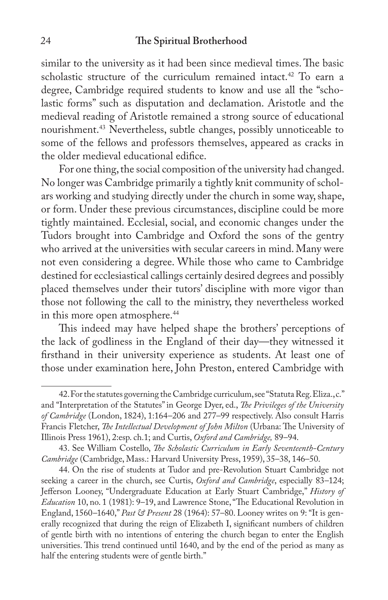similar to the university as it had been since medieval times. The basic scholastic structure of the curriculum remained intact.<sup>42</sup> To earn a degree, Cambridge required students to know and use all the "scholastic forms" such as disputation and declamation. Aristotle and the medieval reading of Aristotle remained a strong source of educational nourishment.43 Nevertheless, subtle changes, possibly unnoticeable to some of the fellows and professors themselves, appeared as cracks in the older medieval educational edifice.

For one thing, the social composition of the university had changed. No longer was Cambridge primarily a tightly knit community of scholars working and studying directly under the church in some way, shape, or form. Under these previous circumstances, discipline could be more tightly maintained. Ecclesial, social, and economic changes under the Tudors brought into Cambridge and Oxford the sons of the gentry who arrived at the universities with secular careers in mind. Many were not even considering a degree. While those who came to Cambridge destined for ecclesiastical callings certainly desired degrees and possibly placed themselves under their tutors' discipline with more vigor than those not following the call to the ministry, they nevertheless worked in this more open atmosphere.<sup>44</sup>

This indeed may have helped shape the brothers' perceptions of the lack of godliness in the England of their day—they witnessed it firsthand in their university experience as students. At least one of those under examination here, John Preston, entered Cambridge with

<sup>42.</sup> For the statutes governing the Cambridge curriculum, see "Statuta Reg. Eliza., c." and "Interpretation of the Statutes" in George Dyer, ed., *!e Privileges of the University of Cambridge* (London, 1824), 1:164–206 and 277–99 respectively. Also consult Harris Francis Fletcher, *The Intellectual Development of John Milton* (Urbana: The University of Illinois Press 1961), 2:esp. ch.1; and Curtis, *Oxford and Cambridge,* 89–94.

<sup>43.</sup> See William Costello, *!e Scholastic Curriculum in Early Seventeenth-Century Cambridge* (Cambridge, Mass.: Harvard University Press, 1959), 35–38, 146–50.

<sup>44.</sup> On the rise of students at Tudor and pre-Revolution Stuart Cambridge not seeking a career in the church, see Curtis, *Oxford and Cambridge*, especially 83–124; Jefferson Looney, "Undergraduate Education at Early Stuart Cambridge," History of *Education* 10, no. 1 (1981): 9-19, and Lawrence Stone, "The Educational Revolution in England, 1560–1640," *Past & Present* 28 (1964): 57–80. Looney writes on 9: "It is generally recognized that during the reign of Elizabeth I, significant numbers of children of gentle birth with no intentions of entering the church began to enter the English universities. This trend continued until 1640, and by the end of the period as many as half the entering students were of gentle birth."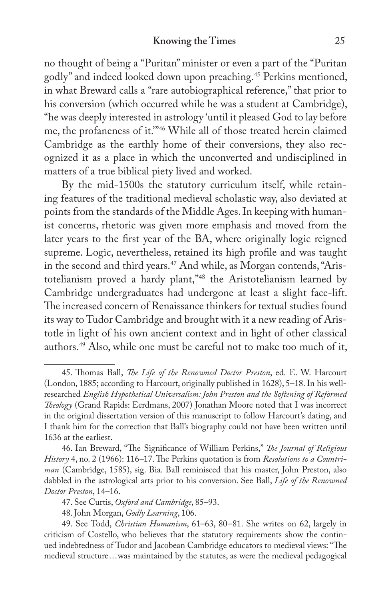no thought of being a "Puritan" minister or even a part of the "Puritan godly" and indeed looked down upon preaching.45 Perkins mentioned, in what Breward calls a "rare autobiographical reference," that prior to his conversion (which occurred while he was a student at Cambridge), "he was deeply interested in astrology 'until it pleased God to lay before me, the profaneness of it.'"46 While all of those treated herein claimed Cambridge as the earthly home of their conversions, they also recognized it as a place in which the unconverted and undisciplined in matters of a true biblical piety lived and worked.

By the mid-1500s the statutory curriculum itself, while retaining features of the traditional medieval scholastic way, also deviated at points from the standards of the Middle Ages. In keeping with humanist concerns, rhetoric was given more emphasis and moved from the later years to the first year of the BA, where originally logic reigned supreme. Logic, nevertheless, retained its high profile and was taught in the second and third years.<sup>47</sup> And while, as Morgan contends, "Aristotelianism proved a hardy plant,"48 the Aristotelianism learned by Cambridge undergraduates had undergone at least a slight face-lift. The increased concern of Renaissance thinkers for textual studies found its way to Tudor Cambridge and brought with it a new reading of Aristotle in light of his own ancient context and in light of other classical authors.49 Also, while one must be careful not to make too much of it,

<sup>45.</sup> Thomas Ball, *The Life of the Renowned Doctor Preston*, ed. E. W. Harcourt (London, 1885; according to Harcourt, originally published in 1628), 5–18. In his wellresearched *English Hypothetical Universalism: John Preston and the Softening of Reformed !eology* (Grand Rapids: Eerdmans, 2007) Jonathan Moore noted that I was incorrect in the original dissertation version of this manuscript to follow Harcourt's dating, and I thank him for the correction that Ball's biography could not have been written until 1636 at the earliest.

<sup>46.</sup> Ian Breward, "The Significance of William Perkins," *The Journal of Religious* History 4, no. 2 (1966): 116-17. The Perkins quotation is from *Resolutions to a Countriman* (Cambridge, 1585), sig. Bia. Ball reminisced that his master, John Preston, also dabbled in the astrological arts prior to his conversion. See Ball, *Life of the Renowned Doctor Preston*, 14–16.

<sup>47.</sup> See Curtis, *Oxford and Cambridge*, 85–93.

<sup>48.</sup> John Morgan, *Godly Learning*, 106.

<sup>49.</sup> See Todd, *Christian Humanism*, 61–63, 80–81. She writes on 62, largely in criticism of Costello, who believes that the statutory requirements show the continued indebtedness of Tudor and Jacobean Cambridge educators to medieval views: "The medieval structure...was maintained by the statutes, as were the medieval pedagogical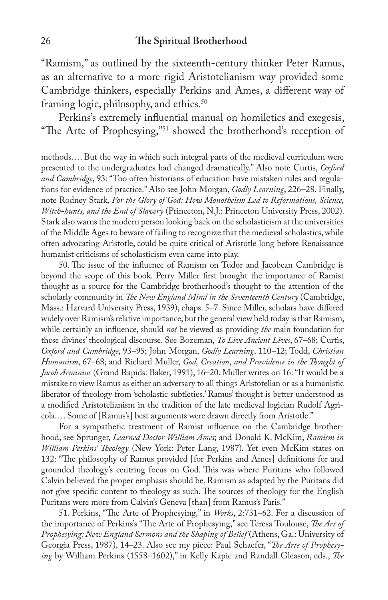"Ramism," as outlined by the sixteenth-century thinker Peter Ramus, as an alternative to a more rigid Aristotelianism way provided some Cambridge thinkers, especially Perkins and Ames, a different way of framing logic, philosophy, and ethics.<sup>50</sup>

Perkins's extremely influential manual on homiletics and exegesis, "The Arte of Prophesying,"<sup>51</sup> showed the brotherhood's reception of

methods.... But the way in which such integral parts of the medieval curriculum were presented to the undergraduates had changed dramatically." Also note Curtis, *Oxford and Cambridge*, 93: "Too often historians of education have mistaken rules and regulations for evidence of practice." Also see John Morgan, *Godly Learning*, 226–28. Finally, note Rodney Stark, *For the Glory of God: How Monotheism Led to Reformations, Science, Witch-hunts, and the End of Slavery* (Princeton, N.J.: Princeton University Press, 2002). Stark also warns the modern person looking back on the scholasticism at the universities of the Middle Ages to beware of failing to recognize that the medieval scholastics, while often advocating Aristotle, could be quite critical of Aristotle long before Renaissance humanist criticisms of scholasticism even came into play.

50. The issue of the influence of Ramism on Tudor and Jacobean Cambridge is beyond the scope of this book. Perry Miller first brought the importance of Ramist thought as a source for the Cambridge brotherhood's thought to the attention of the scholarly community in *The New England Mind in the Seventeenth Century* (Cambridge, Mass.: Harvard University Press, 1939), chaps. 5–7. Since Miller, scholars have differed widely over Ramism's relative importance; but the general view held today is that Ramism, while certainly an influence, should *not* be viewed as providing *the* main foundation for these divines' theological discourse. See Bozeman, *To Live Ancient Lives*, 67–68; Curtis, *Oxford and Cambridge*, 93–95; John Morgan, *Godly Learning*, 110–12; Todd, *Christian Humanism*, 67–68; and Richard Muller, *God, Creation*, *and Providence in the !ought of Jacob Arminius* (Grand Rapids: Baker, 1991), 16–20. Muller writes on 16: "It would be a mistake to view Ramus as either an adversary to all things Aristotelian or as a humanistic liberator of theology from 'scholastic subtleties.' Ramus' thought is better understood as a modified Aristotelianism in the tradition of the late medieval logician Rudolf Agricola.... Some of [Ramus's] best arguments were drawn directly from Aristotle."

For a sympathetic treatment of Ramist influence on the Cambridge brotherhood, see Sprunger, *Learned Doctor William Ames*; and Donald K. McKim, *Ramism in William Perkins' !eology* (New York: Peter Lang, 1987)*.* Yet even McKim states on 132: "The philosophy of Ramus provided [for Perkins and Ames] definitions for and grounded theology's centring focus on God. This was where Puritans who followed Calvin believed the proper emphasis should be. Ramism as adapted by the Puritans did not give specific content to theology as such. The sources of theology for the English Puritans were more from Calvin's Geneva [than] from Ramus's Paris."

51. Perkins, "The Arte of Prophesying," in *Works*, 2:731–62. For a discussion of the importance of Perkins's "The Arte of Prophesying," see Teresa Toulouse, *The Art of Prophesying: New England Sermons and the Shaping of Belief* (Athens, Ga.: University of Georgia Press, 1987), 14–23. Also see my piece: Paul Schaefer, "*!e Arte of Prophesying* by William Perkins (1558–1602)," in Kelly Kapic and Randall Gleason, eds., *!e*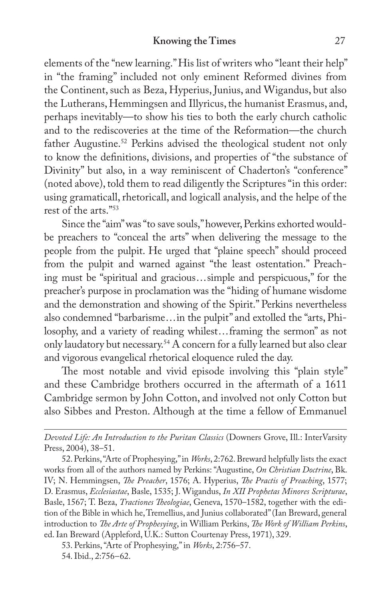elements of the "new learning." His list of writers who "leant their help" in "the framing" included not only eminent Reformed divines from the Continent, such as Beza, Hyperius, Junius, and Wigandus, but also the Lutherans, Hemmingsen and Illyricus, the humanist Erasmus, and, perhaps inevitably—to show his ties to both the early church catholic and to the rediscoveries at the time of the Reformation—the church father Augustine.<sup>52</sup> Perkins advised the theological student not only to know the definitions, divisions, and properties of "the substance of Divinity" but also, in a way reminiscent of Chaderton's "conference" (noted above), told them to read diligently the Scriptures "in this order: using gramaticall, rhetoricall, and logicall analysis, and the helpe of the rest of the arts."53

Since the "aim" was "to save souls," however, Perkins exhorted wouldbe preachers to "conceal the arts" when delivering the message to the people from the pulpit. He urged that "plaine speech" should proceed from the pulpit and warned against "the least ostentation." Preaching must be "spiritual and gracious...simple and perspicuous," for the preacher's purpose in proclamation was the "hiding of humane wisdome and the demonstration and showing of the Spirit." Perkins nevertheless also condemned "barbarisme...in the pulpit" and extolled the "arts, Philosophy, and a variety of reading whilest...framing the sermon" as not only laudatory but necessary.54 A concern for a fully learned but also clear and vigorous evangelical rhetorical eloquence ruled the day.

The most notable and vivid episode involving this "plain style" and these Cambridge brothers occurred in the aftermath of a 1611 Cambridge sermon by John Cotton, and involved not only Cotton but also Sibbes and Preston. Although at the time a fellow of Emmanuel

*Devoted Life: An Introduction to the Puritan Classics* (Downers Grove, Ill.: InterVarsity Press, 2004), 38–51.

52. Perkins, "Arte of Prophesying," in *Works*, 2:762. Breward helpfully lists the exact works from all of the authors named by Perkins: "Augustine, *On Christian Doctrine*, Bk. IV; N. Hemmingsen, *!e Preacher*, 1576; A. Hyperius, *!e Practis of Preaching*, 1577; D. Erasmus, *Ecclesiastae*, Basle, 1535; J. Wigandus, *In XII Prophetas Minores Scripturae*, Basle, 1567; T. Beza, *Tractiones Theologiae*, Geneva, 1570–1582, together with the edition of the Bible in which he, Tremellius, and Junius collaborated" (Ian Breward, general introduction to *!e Arte of Prophesying*, in William Perkins, *!e Work of William Perkins*, ed. Ian Breward (Appleford, U.K.: Sutton Courtenay Press, 1971), 329.

53. Perkins, "Arte of Prophesying," in *Works*, 2:756–57.

<sup>54.</sup> Ibid., 2:756–62.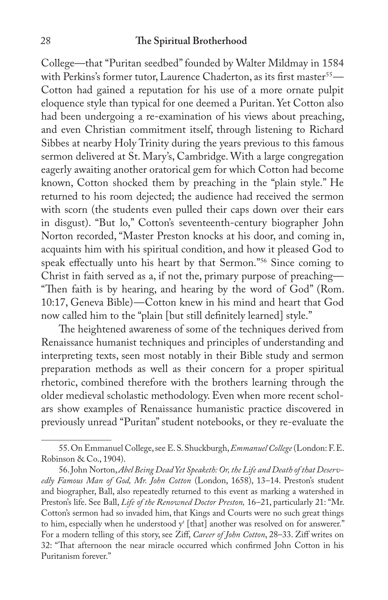College—that "Puritan seedbed" founded by Walter Mildmay in 1584 with Perkins's former tutor, Laurence Chaderton, as its first master<sup>55</sup>— Cotton had gained a reputation for his use of a more ornate pulpit eloquence style than typical for one deemed a Puritan. Yet Cotton also had been undergoing a re-examination of his views about preaching, and even Christian commitment itself, through listening to Richard Sibbes at nearby Holy Trinity during the years previous to this famous sermon delivered at St. Mary's, Cambridge. With a large congregation eagerly awaiting another oratorical gem for which Cotton had become known, Cotton shocked them by preaching in the "plain style." He returned to his room dejected; the audience had received the sermon with scorn (the students even pulled their caps down over their ears in disgust). "But lo," Cotton's seventeenth-century biographer John Norton recorded, "Master Preston knocks at his door, and coming in, acquaints him with his spiritual condition, and how it pleased God to speak effectually unto his heart by that Sermon."<sup>56</sup> Since coming to Christ in faith served as a, if not the, primary purpose of preaching— "Then faith is by hearing, and hearing by the word of God" (Rom. 10:17, Geneva Bible)—Cotton knew in his mind and heart that God now called him to the "plain [but still definitely learned] style."

The heightened awareness of some of the techniques derived from Renaissance humanist techniques and principles of understanding and interpreting texts, seen most notably in their Bible study and sermon preparation methods as well as their concern for a proper spiritual rhetoric, combined therefore with the brothers learning through the older medieval scholastic methodology. Even when more recent scholars show examples of Renaissance humanistic practice discovered in previously unread "Puritan" student notebooks, or they re-evaluate the

<sup>55.</sup> On Emmanuel College, see E. S. Shuckburgh, *Emmanuel College* (London: F. E. Robinson & Co., 1904).

<sup>56.</sup> John Norton, *Abel Being Dead Yet Speaketh: Or, the Life and Death of that Deservedly Famous Man of God, Mr. John Cotton* (London, 1658), 13–14. Preston's student and biographer, Ball, also repeatedly returned to this event as marking a watershed in Preston's life. See Ball, *Life of the Renowned Doctor Preston,* 16–21, particularly 21: "Mr. Cotton's sermon had so invaded him, that Kings and Courts were no such great things to him, especially when he understood  $y^t$  [that] another was resolved on for answerer." For a modern telling of this story, see Ziff, *Career of John Cotton*, 28-33. Ziff writes on 32: "That afternoon the near miracle occurred which confirmed John Cotton in his Puritanism forever."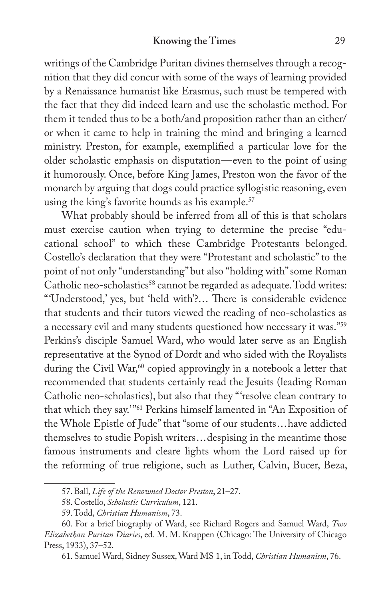writings of the Cambridge Puritan divines themselves through a recognition that they did concur with some of the ways of learning provided by a Renaissance humanist like Erasmus, such must be tempered with the fact that they did indeed learn and use the scholastic method. For them it tended thus to be a both/and proposition rather than an either/ or when it came to help in training the mind and bringing a learned ministry. Preston, for example, exemplified a particular love for the older scholastic emphasis on disputation—even to the point of using it humorously. Once, before King James, Preston won the favor of the monarch by arguing that dogs could practice syllogistic reasoning, even using the king's favorite hounds as his example.<sup>57</sup>

What probably should be inferred from all of this is that scholars must exercise caution when trying to determine the precise "educational school" to which these Cambridge Protestants belonged. Costello's declaration that they were "Protestant and scholastic" to the point of not only "understanding" but also "holding with" some Roman Catholic neo-scholastics<sup>58</sup> cannot be regarded as adequate. Todd writes: "'Understood,' yes, but 'held with'?... There is considerable evidence that students and their tutors viewed the reading of neo-scholastics as a necessary evil and many students questioned how necessary it was."59 Perkins's disciple Samuel Ward, who would later serve as an English representative at the Synod of Dordt and who sided with the Royalists during the Civil War,<sup>60</sup> copied approvingly in a notebook a letter that recommended that students certainly read the Jesuits (leading Roman Catholic neo-scholastics), but also that they "'resolve clean contrary to that which they say.'"61 Perkins himself lamented in "An Exposition of the Whole Epistle of Jude" that "some of our students...have addicted themselves to studie Popish writers...despising in the meantime those famous instruments and cleare lights whom the Lord raised up for the reforming of true religione, such as Luther, Calvin, Bucer, Beza,

<sup>57.</sup> Ball, *Life of the Renowned Doctor Preston*, 21–27.

<sup>58.</sup> Costello, *Scholastic Curriculum*, 121.

<sup>59.</sup> Todd, *Christian Humanism*, 73.

<sup>60.</sup> For a brief biography of Ward, see Richard Rogers and Samuel Ward, *Two Elizabethan Puritan Diaries*, ed. M. M. Knappen (Chicago: The University of Chicago Press, 1933), 37–52.

<sup>61.</sup> Samuel Ward, Sidney Sussex, Ward MS 1, in Todd, *Christian Humanism*, 76.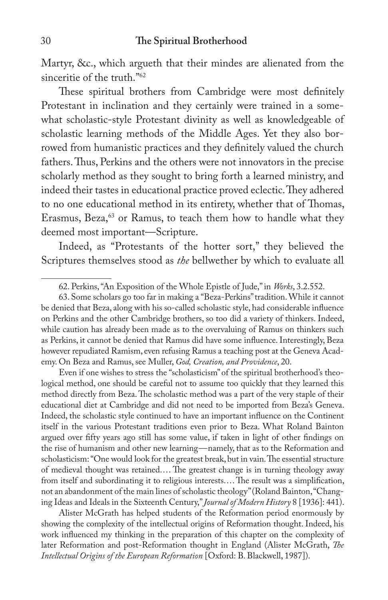Martyr, &c., which argueth that their mindes are alienated from the sinceritie of the truth."<sup>62</sup>

These spiritual brothers from Cambridge were most definitely Protestant in inclination and they certainly were trained in a somewhat scholastic-style Protestant divinity as well as knowledgeable of scholastic learning methods of the Middle Ages. Yet they also borrowed from humanistic practices and they definitely valued the church fathers. Thus, Perkins and the others were not innovators in the precise scholarly method as they sought to bring forth a learned ministry, and indeed their tastes in educational practice proved eclectic. They adhered to no one educational method in its entirety, whether that of Thomas, Erasmus, Beza,<sup>63</sup> or Ramus, to teach them how to handle what they deemed most important—Scripture.

Indeed, as "Protestants of the hotter sort," they believed the Scriptures themselves stood as *the* bellwether by which to evaluate all

Even if one wishes to stress the "scholasticism" of the spiritual brotherhood's theological method, one should be careful not to assume too quickly that they learned this method directly from Beza. The scholastic method was a part of the very staple of their educational diet at Cambridge and did not need to be imported from Beza's Geneva. Indeed, the scholastic style continued to have an important influence on the Continent itself in the various Protestant traditions even prior to Beza. What Roland Bainton argued over fifty years ago still has some value, if taken in light of other findings on the rise of humanism and other new learning—namely, that as to the Reformation and scholasticism: "One would look for the greatest break, but in vain. The essential structure of medieval thought was retained.... The greatest change is in turning theology away from itself and subordinating it to religious interests.... The result was a simplification, not an abandonment of the main lines of scholastic theology" (Roland Bainton, "Changing Ideas and Ideals in the Sixteenth Century," *Journal of Modern History* 8 [1936]: 441).

Alister McGrath has helped students of the Reformation period enormously by showing the complexity of the intellectual origins of Reformation thought. Indeed, his work influenced my thinking in the preparation of this chapter on the complexity of later Reformation and post-Reformation thought in England (Alister McGrath, *!e Intellectual Origins of the European Reformation* [Oxford: B. Blackwell, 1987]).

<sup>62.</sup> Perkins, "An Exposition of the Whole Epistle of Jude," in *Works*, 3.2.552.

<sup>63.</sup> Some scholars go too far in making a "Beza-Perkins" tradition. While it cannot be denied that Beza, along with his so-called scholastic style, had considerable influence on Perkins and the other Cambridge brothers, so too did a variety of thinkers. Indeed, while caution has already been made as to the overvaluing of Ramus on thinkers such as Perkins, it cannot be denied that Ramus did have some influence. Interestingly, Beza however repudiated Ramism, even refusing Ramus a teaching post at the Geneva Academy. On Beza and Ramus, see Muller, *God, Creation, and Providence*, 20.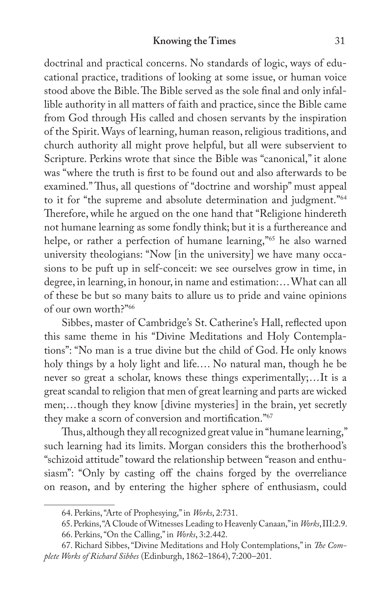doctrinal and practical concerns. No standards of logic, ways of educational practice, traditions of looking at some issue, or human voice stood above the Bible. The Bible served as the sole final and only infallible authority in all matters of faith and practice, since the Bible came from God through His called and chosen servants by the inspiration of the Spirit. Ways of learning, human reason, religious traditions, and church authority all might prove helpful, but all were subservient to Scripture. Perkins wrote that since the Bible was "canonical," it alone was "where the truth is first to be found out and also afterwards to be examined." Thus, all questions of "doctrine and worship" must appeal to it for "the supreme and absolute determination and judgment."64 Therefore, while he argued on the one hand that "Religione hindereth not humane learning as some fondly think; but it is a furthereance and helpe, or rather a perfection of humane learning,"<sup>65</sup> he also warned university theologians: "Now [in the university] we have many occasions to be puft up in self-conceit: we see ourselves grow in time, in degree, in learning, in honour, in name and estimation:... What can all of these be but so many baits to allure us to pride and vaine opinions of our own worth?"66

Sibbes, master of Cambridge's St. Catherine's Hall, reflected upon this same theme in his "Divine Meditations and Holy Contemplations": "No man is a true divine but the child of God. He only knows holy things by a holy light and life.... No natural man, though he be never so great a scholar, knows these things experimentally;...It is a great scandal to religion that men of great learning and parts are wicked men;...though they know [divine mysteries] in the brain, yet secretly they make a scorn of conversion and mortification."<sup>67</sup>

Thus, although they all recognized great value in "humane learning," such learning had its limits. Morgan considers this the brotherhood's "schizoid attitude" toward the relationship between "reason and enthusiasm": "Only by casting off the chains forged by the overreliance on reason, and by entering the higher sphere of enthusiasm, could

<sup>64.</sup> Perkins, "Arte of Prophesying," in *Works*, 2:731.

<sup>65.</sup> Perkins, "A Cloude of Witnesses Leading to Heavenly Canaan," in *Works*, III:2.9. 66. Perkins, "On the Calling," in *Works*, 3:2.442.

<sup>67.</sup> Richard Sibbes, "Divine Meditations and Holy Contemplations," in *!e Complete Works of Richard Sibbes* (Edinburgh, 1862–1864), 7:200–201.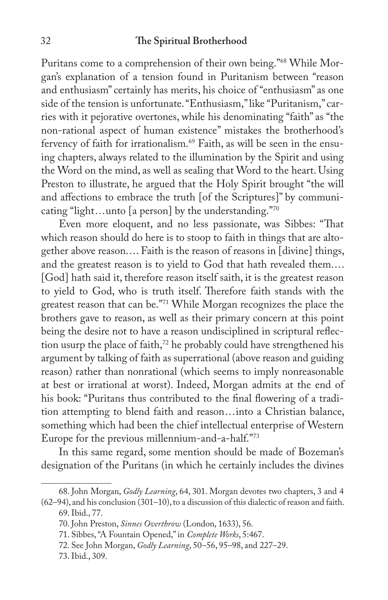Puritans come to a comprehension of their own being."68 While Morgan's explanation of a tension found in Puritanism between "reason and enthusiasm" certainly has merits, his choice of "enthusiasm" as one side of the tension is unfortunate. "Enthusiasm," like "Puritanism," carries with it pejorative overtones, while his denominating "faith" as "the non-rational aspect of human existence" mistakes the brotherhood's fervency of faith for irrationalism.<sup>69</sup> Faith, as will be seen in the ensuing chapters, always related to the illumination by the Spirit and using the Word on the mind, as well as sealing that Word to the heart. Using Preston to illustrate, he argued that the Holy Spirit brought "the will and affections to embrace the truth [of the Scriptures]" by communicating "light...unto [a person] by the understanding."70

Even more eloquent, and no less passionate, was Sibbes: "That which reason should do here is to stoop to faith in things that are altogether above reason.... Faith is the reason of reasons in [divine] things, and the greatest reason is to yield to God that hath revealed them.... [God] hath said it, therefore reason itself saith, it is the greatest reason to yield to God, who is truth itself. Therefore faith stands with the greatest reason that can be."71 While Morgan recognizes the place the brothers gave to reason, as well as their primary concern at this point being the desire not to have a reason undisciplined in scriptural reflection usurp the place of faith,<sup>72</sup> he probably could have strengthened his argument by talking of faith as superrational (above reason and guiding reason) rather than nonrational (which seems to imply nonreasonable at best or irrational at worst). Indeed, Morgan admits at the end of his book: "Puritans thus contributed to the final flowering of a tradition attempting to blend faith and reason...into a Christian balance, something which had been the chief intellectual enterprise of Western Europe for the previous millennium-and-a-half."73

In this same regard, some mention should be made of Bozeman's designation of the Puritans (in which he certainly includes the divines

<sup>68.</sup> John Morgan, *Godly Learning*, 64, 301. Morgan devotes two chapters, 3 and 4 (62–94), and his conclusion (301–10), to a discussion of this dialectic of reason and faith.

<sup>69.</sup> Ibid., 77.

<sup>70.</sup> John Preston, *Sinnes Overthrow* (London, 1633), 56.

<sup>71.</sup> Sibbes, "A Fountain Opened," in *Complete Works*, 5:467.

<sup>72.</sup> See John Morgan, *Godly Learning*, 50–56, 95–98, and 227–29.

<sup>73.</sup> Ibid., 309.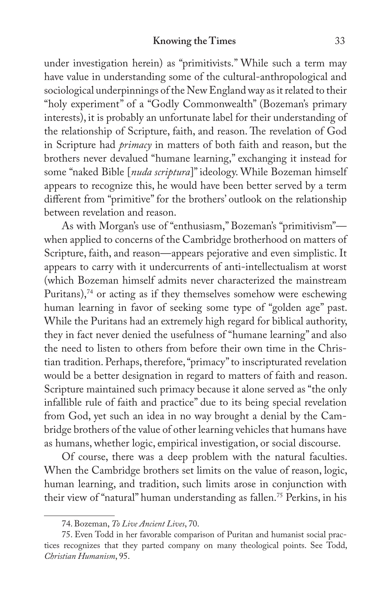under investigation herein) as "primitivists." While such a term may have value in understanding some of the cultural-anthropological and sociological underpinnings of the New England way as it related to their "holy experiment" of a "Godly Commonwealth" (Bozeman's primary interests), it is probably an unfortunate label for their understanding of the relationship of Scripture, faith, and reason. The revelation of God in Scripture had *primacy* in matters of both faith and reason, but the brothers never devalued "humane learning," exchanging it instead for some "naked Bible [*nuda scriptura*]" ideology. While Bozeman himself appears to recognize this, he would have been better served by a term different from "primitive" for the brothers' outlook on the relationship between revelation and reason.

As with Morgan's use of "enthusiasm," Bozeman's "primitivism" when applied to concerns of the Cambridge brotherhood on matters of Scripture, faith, and reason—appears pejorative and even simplistic. It appears to carry with it undercurrents of anti-intellectualism at worst (which Bozeman himself admits never characterized the mainstream Puritans), $74$  or acting as if they themselves somehow were eschewing human learning in favor of seeking some type of "golden age" past. While the Puritans had an extremely high regard for biblical authority, they in fact never denied the usefulness of "humane learning" and also the need to listen to others from before their own time in the Christian tradition. Perhaps, therefore, "primacy" to inscripturated revelation would be a better designation in regard to matters of faith and reason. Scripture maintained such primacy because it alone served as "the only infallible rule of faith and practice" due to its being special revelation from God, yet such an idea in no way brought a denial by the Cambridge brothers of the value of other learning vehicles that humans have as humans, whether logic, empirical investigation, or social discourse.

Of course, there was a deep problem with the natural faculties. When the Cambridge brothers set limits on the value of reason, logic, human learning, and tradition, such limits arose in conjunction with their view of "natural" human understanding as fallen.75 Perkins, in his

<sup>74.</sup> Bozeman, *To Live Ancient Lives*, 70.

<sup>75.</sup> Even Todd in her favorable comparison of Puritan and humanist social practices recognizes that they parted company on many theological points. See Todd, *Christian Humanism*, 95.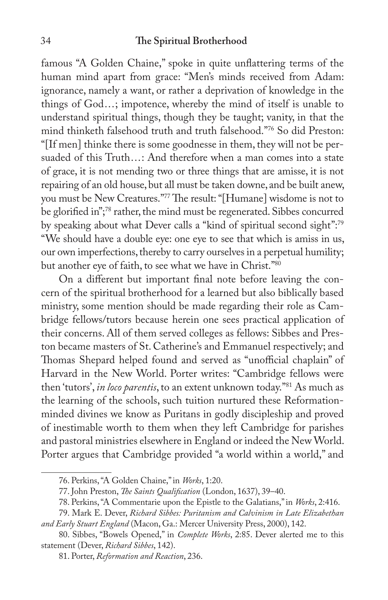famous "A Golden Chaine," spoke in quite unflattering terms of the human mind apart from grace: "Men's minds received from Adam: ignorance, namely a want, or rather a deprivation of knowledge in the things of God...; impotence, whereby the mind of itself is unable to understand spiritual things, though they be taught; vanity, in that the mind thinketh falsehood truth and truth falsehood."76 So did Preston: "[If men] thinke there is some goodnesse in them, they will not be persuaded of this Truth...: And therefore when a man comes into a state of grace, it is not mending two or three things that are amisse, it is not repairing of an old house, but all must be taken downe, and be built anew, you must be New Creatures."77 The result: "[Humane] wisdome is not to be glorified in";<sup>78</sup> rather, the mind must be regenerated. Sibbes concurred by speaking about what Dever calls a "kind of spiritual second sight":<sup>79</sup> "We should have a double eye: one eye to see that which is amiss in us, our own imperfections, thereby to carry ourselves in a perpetual humility; but another eye of faith, to see what we have in Christ."80

On a different but important final note before leaving the concern of the spiritual brotherhood for a learned but also biblically based ministry, some mention should be made regarding their role as Cambridge fellows/tutors because herein one sees practical application of their concerns. All of them served colleges as fellows: Sibbes and Preston became masters of St. Catherine's and Emmanuel respectively; and Thomas Shepard helped found and served as "unofficial chaplain" of Harvard in the New World. Porter writes: "Cambridge fellows were then 'tutors', *in loco parentis*, to an extent unknown today."81 As much as the learning of the schools, such tuition nurtured these Reformationminded divines we know as Puritans in godly discipleship and proved of inestimable worth to them when they left Cambridge for parishes and pastoral ministries elsewhere in England or indeed the New World. Porter argues that Cambridge provided "a world within a world," and

<sup>76.</sup> Perkins, "A Golden Chaine," in *Works*, 1:20.

<sup>77.</sup> John Preston, *The Saints Qualification* (London, 1637), 39-40.

<sup>78.</sup> Perkins, "A Commentarie upon the Epistle to the Galatians," in *Works*, 2:416.

<sup>79.</sup> Mark E. Dever, *Richard Sibbes: Puritanism and Calvinism in Late Elizabethan and Early Stuart England* (Macon, Ga.: Mercer University Press, 2000), 142.

<sup>80.</sup> Sibbes, "Bowels Opened," in *Complete Works*, 2:85. Dever alerted me to this statement (Dever, *Richard Sibbes*, 142).

<sup>81.</sup> Porter, *Reformation and Reaction*, 236.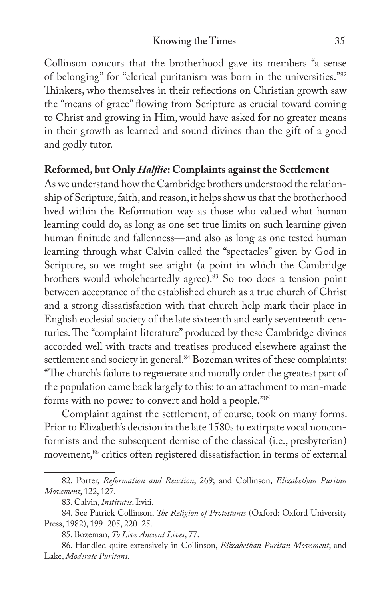### **Knowing the Times** 35

Collinson concurs that the brotherhood gave its members "a sense of belonging" for "clerical puritanism was born in the universities."82 Thinkers, who themselves in their reflections on Christian growth saw the "means of grace" flowing from Scripture as crucial toward coming to Christ and growing in Him, would have asked for no greater means in their growth as learned and sound divines than the gift of a good and godly tutor.

## **Reformed, but Only** *Hal!ie***: Complaints against the Settlement**

As we understand how the Cambridge brothers understood the relationship of Scripture, faith, and reason, it helps show us that the brotherhood lived within the Reformation way as those who valued what human learning could do, as long as one set true limits on such learning given human finitude and fallenness—and also as long as one tested human learning through what Calvin called the "spectacles" given by God in Scripture, so we might see aright (a point in which the Cambridge brothers would wholeheartedly agree).<sup>83</sup> So too does a tension point between acceptance of the established church as a true church of Christ and a strong dissatisfaction with that church help mark their place in English ecclesial society of the late sixteenth and early seventeenth centuries. The "complaint literature" produced by these Cambridge divines accorded well with tracts and treatises produced elsewhere against the settlement and society in general.<sup>84</sup> Bozeman writes of these complaints: "The church's failure to regenerate and morally order the greatest part of the population came back largely to this: to an attachment to man-made forms with no power to convert and hold a people."85

Complaint against the settlement, of course, took on many forms. Prior to Elizabeth's decision in the late 1580s to extirpate vocal nonconformists and the subsequent demise of the classical (i.e., presbyterian) movement,<sup>86</sup> critics often registered dissatisfaction in terms of external

<sup>82.</sup> Porter, *Reformation and Reaction*, 269; and Collinson, *Elizabethan Puritan Movement*, 122, 127.

<sup>83.</sup> Calvin, *Institutes*, I:vi:i.

<sup>84.</sup> See Patrick Collinson, *!e Religion of Protestants* (Oxford: Oxford University Press, 1982), 199–205, 220–25.

<sup>85.</sup> Bozeman, *To Live Ancient Lives*, 77.

<sup>86.</sup> Handled quite extensively in Collinson, *Elizabethan Puritan Movement*, and Lake, *Moderate Puritans*.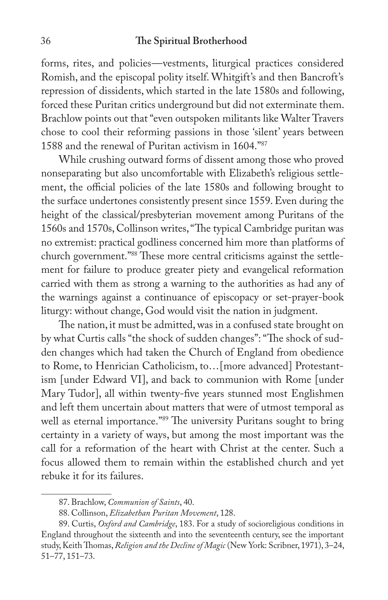forms, rites, and policies—vestments, liturgical practices considered Romish, and the episcopal polity itself. Whitgift's and then Bancroft's repression of dissidents, which started in the late 1580s and following, forced these Puritan critics underground but did not exterminate them. Brachlow points out that "even outspoken militants like Walter Travers chose to cool their reforming passions in those 'silent' years between 1588 and the renewal of Puritan activism in 1604."87

While crushing outward forms of dissent among those who proved nonseparating but also uncomfortable with Elizabeth's religious settlement, the official policies of the late 1580s and following brought to the surface undertones consistently present since 1559. Even during the height of the classical/presbyterian movement among Puritans of the 1560s and 1570s, Collinson writes, "The typical Cambridge puritan was no extremist: practical godliness concerned him more than platforms of church government."88 These more central criticisms against the settlement for failure to produce greater piety and evangelical reformation carried with them as strong a warning to the authorities as had any of the warnings against a continuance of episcopacy or set-prayer-book liturgy: without change, God would visit the nation in judgment.

The nation, it must be admitted, was in a confused state brought on by what Curtis calls "the shock of sudden changes": "The shock of sudden changes which had taken the Church of England from obedience to Rome, to Henrician Catholicism, to...[more advanced] Protestantism [under Edward VI], and back to communion with Rome [under Mary Tudor], all within twenty-five years stunned most Englishmen and left them uncertain about matters that were of utmost temporal as well as eternal importance."<sup>89</sup> The university Puritans sought to bring certainty in a variety of ways, but among the most important was the call for a reformation of the heart with Christ at the center. Such a focus allowed them to remain within the established church and yet rebuke it for its failures.

<sup>87.</sup> Brachlow, *Communion of Saints*, 40.

<sup>88.</sup> Collinson, *Elizabethan Puritan Movement*, 128.

<sup>89.</sup> Curtis, *Oxford and Cambridge*, 183. For a study of socioreligious conditions in England throughout the sixteenth and into the seventeenth century, see the important study, Keith Thomas, *Religion and the Decline of Magic* (New York: Scribner, 1971), 3-24, 51–77, 151–73.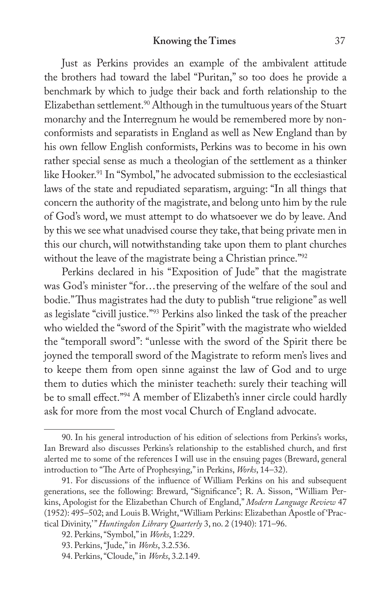Just as Perkins provides an example of the ambivalent attitude the brothers had toward the label "Puritan," so too does he provide a benchmark by which to judge their back and forth relationship to the Elizabethan settlement.<sup>90</sup> Although in the tumultuous years of the Stuart monarchy and the Interregnum he would be remembered more by nonconformists and separatists in England as well as New England than by his own fellow English conformists, Perkins was to become in his own rather special sense as much a theologian of the settlement as a thinker like Hooker.<sup>91</sup> In "Symbol," he advocated submission to the ecclesiastical laws of the state and repudiated separatism, arguing: "In all things that concern the authority of the magistrate, and belong unto him by the rule of God's word, we must attempt to do whatsoever we do by leave. And by this we see what unadvised course they take, that being private men in this our church, will notwithstanding take upon them to plant churches without the leave of the magistrate being a Christian prince."<sup>92</sup>

Perkins declared in his "Exposition of Jude" that the magistrate was God's minister "for...the preserving of the welfare of the soul and bodie." Thus magistrates had the duty to publish "true religione" as well as legislate "civill justice."93 Perkins also linked the task of the preacher who wielded the "sword of the Spirit" with the magistrate who wielded the "temporall sword": "unlesse with the sword of the Spirit there be joyned the temporall sword of the Magistrate to reform men's lives and to keepe them from open sinne against the law of God and to urge them to duties which the minister teacheth: surely their teaching will be to small effect."<sup>94</sup> A member of Elizabeth's inner circle could hardly ask for more from the most vocal Church of England advocate.

<sup>90.</sup> In his general introduction of his edition of selections from Perkins's works, Ian Breward also discusses Perkins's relationship to the established church, and first alerted me to some of the references I will use in the ensuing pages (Breward, general introduction to "The Arte of Prophesying," in Perkins, *Works*, 14–32).

<sup>91.</sup> For discussions of the influence of William Perkins on his and subsequent generations, see the following: Breward, "Significance"; R. A. Sisson, "William Perkins, Apologist for the Elizabethan Church of England," *Modern Language Review* 47 (1952): 495–502; and Louis B. Wright, "William Perkins: Elizabethan Apostle of 'Practical Divinity,'" *Huntingdon Library Quarterly* 3, no. 2 (1940): 171–96.

<sup>92.</sup> Perkins, "Symbol," in *Works*, 1:229.

<sup>93.</sup> Perkins, "Jude," in *Works*, 3.2.536.

<sup>94.</sup> Perkins, "Cloude," in *Works*, 3.2.149.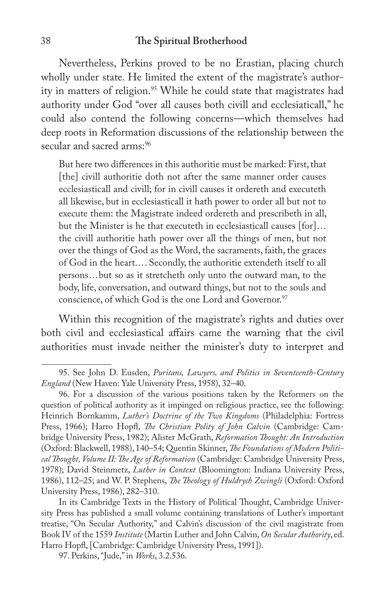Nevertheless, Perkins proved to be no Erastian, placing church wholly under state. He limited the extent of the magistrate's authority in matters of religion.<sup>95</sup> While he could state that magistrates had authority under God "over all causes both civill and ecclesiaticall," he could also contend the following concerns—which themselves had deep roots in Reformation discussions of the relationship between the secular and sacred arms:96

But here two differences in this authoritie must be marked: First, that [the] civill authoritie doth not after the same manner order causes ecclesiasticall and civill; for in civill causes it ordereth and executeth all likewise, but in ecclesiasticall it hath power to order all but not to execute them: the Magistrate indeed ordereth and prescribeth in all, but the Minister is he that executeth in ecclesiasticall causes [for]... the civill authoritie hath power over all the things of men, but not over the things of God as the Word, the sacraments, faith, the graces of God in the heart.... Secondly, the authoritie extendeth itself to all persons...but so as it stretcheth only unto the outward man, to the body, life, conversation, and outward things, but not to the souls and conscience, of which God is the one Lord and Governor.97

Within this recognition of the magistrate's rights and duties over both civil and ecclesiastical affairs came the warning that the civil authorities must invade neither the minister's duty to interpret and

<sup>95.</sup> See John D. Eusden, *Puritans, Lawyers, and Politics in Seventeenth-Century England* (New Haven: Yale University Press, 1958), 32–40.

<sup>96.</sup> For a discussion of the various positions taken by the Reformers on the question of political authority as it impinged on religious practice, see the following: Heinrich Bornkamm, *Luther's Doctrine of the Two Kingdoms* (Philadelphia: Fortress Press, 1966); Harro Hopfl, *The Christian Polity of John Calvin* (Cambridge: Cambridge University Press, 1982); Alister McGrath, *Reformation !ought: An Introduction* (Oxford: Blackwell, 1988), 140–54; Quentin Skinner, *!e Foundations of Modern Political !ought, Volume II: !e Age of Reformation* (Cambridge: Cambridge University Press, 1978); David Steinmetz, *Luther in Context* (Bloomington: Indiana University Press, 1986), 112–25; and W. P. Stephens, *!e !eology of Huldrych Zwingli* (Oxford: Oxford University Press, 1986), 282–310.

In its Cambridge Texts in the History of Political Thought, Cambridge University Press has published a small volume containing translations of Luther's important treatise, "On Secular Authority," and Calvin's discussion of the civil magistrate from Book IV of the 1559 *Institute* (Martin Luther and John Calvin, *On Secular Authority*, ed. Harro Hopfl, [Cambridge: Cambridge University Press, 1991]).

<sup>97.</sup> Perkins, "Jude," in *Works*, 3.2.536.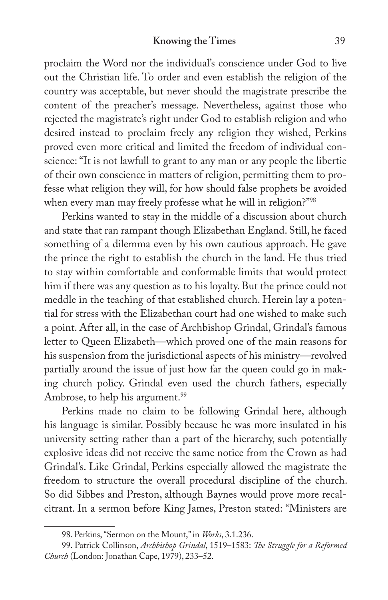proclaim the Word nor the individual's conscience under God to live out the Christian life. To order and even establish the religion of the country was acceptable, but never should the magistrate prescribe the content of the preacher's message. Nevertheless, against those who rejected the magistrate's right under God to establish religion and who desired instead to proclaim freely any religion they wished, Perkins proved even more critical and limited the freedom of individual conscience: "It is not lawfull to grant to any man or any people the libertie of their own conscience in matters of religion, permitting them to professe what religion they will, for how should false prophets be avoided when every man may freely professe what he will in religion?"98

Perkins wanted to stay in the middle of a discussion about church and state that ran rampant though Elizabethan England. Still, he faced something of a dilemma even by his own cautious approach. He gave the prince the right to establish the church in the land. He thus tried to stay within comfortable and conformable limits that would protect him if there was any question as to his loyalty. But the prince could not meddle in the teaching of that established church. Herein lay a potential for stress with the Elizabethan court had one wished to make such a point. After all, in the case of Archbishop Grindal, Grindal's famous letter to Queen Elizabeth—which proved one of the main reasons for his suspension from the jurisdictional aspects of his ministry—revolved partially around the issue of just how far the queen could go in making church policy. Grindal even used the church fathers, especially Ambrose, to help his argument.<sup>99</sup>

Perkins made no claim to be following Grindal here, although his language is similar. Possibly because he was more insulated in his university setting rather than a part of the hierarchy, such potentially explosive ideas did not receive the same notice from the Crown as had Grindal's. Like Grindal, Perkins especially allowed the magistrate the freedom to structure the overall procedural discipline of the church. So did Sibbes and Preston, although Baynes would prove more recalcitrant. In a sermon before King James, Preston stated: "Ministers are

<sup>98.</sup> Perkins, "Sermon on the Mount," in *Works*, 3.1.236.

<sup>99.</sup> Patrick Collinson, *Archbishop Grindal*, 1519–1583: *!e Struggle for a Reformed Church* (London: Jonathan Cape, 1979), 233–52.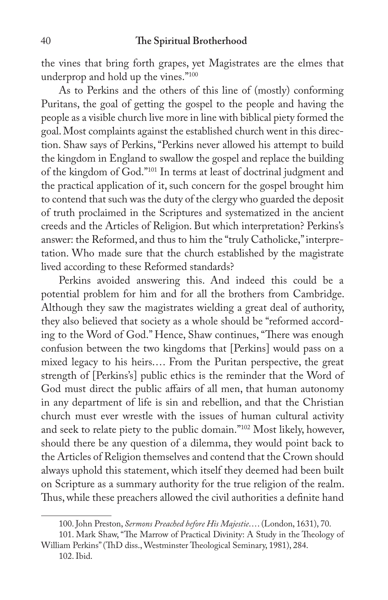the vines that bring forth grapes, yet Magistrates are the elmes that underprop and hold up the vines."100

As to Perkins and the others of this line of (mostly) conforming Puritans, the goal of getting the gospel to the people and having the people as a visible church live more in line with biblical piety formed the goal. Most complaints against the established church went in this direction. Shaw says of Perkins, "Perkins never allowed his attempt to build the kingdom in England to swallow the gospel and replace the building of the kingdom of God."101 In terms at least of doctrinal judgment and the practical application of it, such concern for the gospel brought him to contend that such was the duty of the clergy who guarded the deposit of truth proclaimed in the Scriptures and systematized in the ancient creeds and the Articles of Religion. But which interpretation? Perkins's answer: the Reformed, and thus to him the "truly Catholicke," interpretation. Who made sure that the church established by the magistrate lived according to these Reformed standards?

Perkins avoided answering this. And indeed this could be a potential problem for him and for all the brothers from Cambridge. Although they saw the magistrates wielding a great deal of authority, they also believed that society as a whole should be "reformed according to the Word of God." Hence, Shaw continues, "There was enough confusion between the two kingdoms that [Perkins] would pass on a mixed legacy to his heirs.... From the Puritan perspective, the great strength of [Perkins's] public ethics is the reminder that the Word of God must direct the public affairs of all men, that human autonomy in any department of life is sin and rebellion, and that the Christian church must ever wrestle with the issues of human cultural activity and seek to relate piety to the public domain."102 Most likely, however, should there be any question of a dilemma, they would point back to the Articles of Religion themselves and contend that the Crown should always uphold this statement, which itself they deemed had been built on Scripture as a summary authority for the true religion of the realm. Thus, while these preachers allowed the civil authorities a definite hand

102. Ibid.

<sup>100.</sup> John Preston, *Sermons Preached before His Majestie*.... (London, 1631), 70.

<sup>101.</sup> Mark Shaw, "The Marrow of Practical Divinity: A Study in the Theology of William Perkins" (ThD diss., Westminster Theological Seminary, 1981), 284.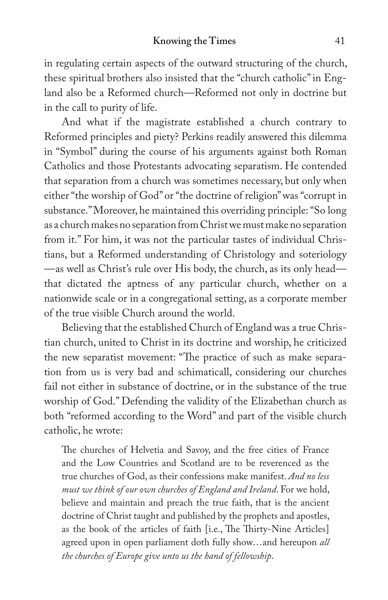in regulating certain aspects of the outward structuring of the church, these spiritual brothers also insisted that the "church catholic" in England also be a Reformed church—Reformed not only in doctrine but in the call to purity of life.

And what if the magistrate established a church contrary to Reformed principles and piety? Perkins readily answered this dilemma in "Symbol" during the course of his arguments against both Roman Catholics and those Protestants advocating separatism. He contended that separation from a church was sometimes necessary, but only when either "the worship of God" or "the doctrine of religion" was "corrupt in substance." Moreover, he maintained this overriding principle: "So long as a church makes no separation from Christ we must make no separation from it." For him, it was not the particular tastes of individual Christians, but a Reformed understanding of Christology and soteriology —as well as Christ's rule over His body, the church, as its only head that dictated the aptness of any particular church, whether on a nationwide scale or in a congregational setting, as a corporate member of the true visible Church around the world.

Believing that the established Church of England was a true Christian church, united to Christ in its doctrine and worship, he criticized the new separatist movement: "The practice of such as make separation from us is very bad and schimaticall, considering our churches fail not either in substance of doctrine, or in the substance of the true worship of God." Defending the validity of the Elizabethan church as both "reformed according to the Word" and part of the visible church catholic, he wrote:

The churches of Helvetia and Savoy, and the free cities of France and the Low Countries and Scotland are to be reverenced as the true churches of God, as their confessions make manifest. *And no less must we think of our own churches of England and Ireland*. For we hold, believe and maintain and preach the true faith, that is the ancient doctrine of Christ taught and published by the prophets and apostles, as the book of the articles of faith [i.e., The Thirty-Nine Articles] agreed upon in open parliament doth fully show...and hereupon *all the churches of Europe give unto us the hand of fellowship*.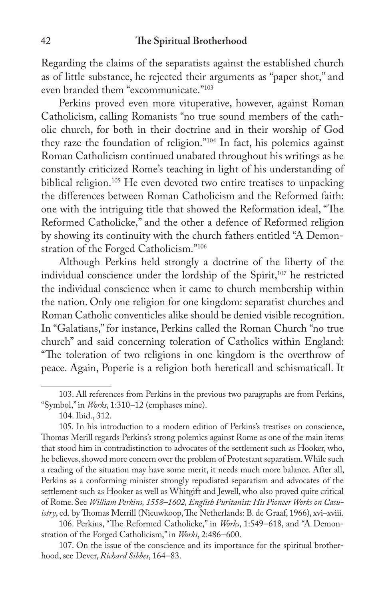Regarding the claims of the separatists against the established church as of little substance, he rejected their arguments as "paper shot," and even branded them "excommunicate."103

Perkins proved even more vituperative, however, against Roman Catholicism, calling Romanists "no true sound members of the catholic church, for both in their doctrine and in their worship of God they raze the foundation of religion."104 In fact, his polemics against Roman Catholicism continued unabated throughout his writings as he constantly criticized Rome's teaching in light of his understanding of biblical religion.<sup>105</sup> He even devoted two entire treatises to unpacking the differences between Roman Catholicism and the Reformed faith: one with the intriguing title that showed the Reformation ideal, "The Reformed Catholicke," and the other a defence of Reformed religion by showing its continuity with the church fathers entitled "A Demonstration of the Forged Catholicism."106

Although Perkins held strongly a doctrine of the liberty of the individual conscience under the lordship of the Spirit,<sup>107</sup> he restricted the individual conscience when it came to church membership within the nation. Only one religion for one kingdom: separatist churches and Roman Catholic conventicles alike should be denied visible recognition. In "Galatians," for instance, Perkins called the Roman Church "no true church" and said concerning toleration of Catholics within England: "The toleration of two religions in one kingdom is the overthrow of peace. Again, Poperie is a religion both hereticall and schismaticall. It

106. Perkins, "The Reformed Catholicke," in Works, 1:549-618, and "A Demonstration of the Forged Catholicism," in *Works*, 2:486–600.

107. On the issue of the conscience and its importance for the spiritual brotherhood, see Dever, *Richard Sibbes*, 164–83.

<sup>103.</sup> All references from Perkins in the previous two paragraphs are from Perkins, "Symbol," in *Works*, 1:310–12 (emphases mine).

<sup>104.</sup> Ibid., 312.

<sup>105.</sup> In his introduction to a modern edition of Perkins's treatises on conscience, Thomas Merill regards Perkins's strong polemics against Rome as one of the main items that stood him in contradistinction to advocates of the settlement such as Hooker, who, he believes, showed more concern over the problem of Protestant separatism. While such a reading of the situation may have some merit, it needs much more balance. After all, Perkins as a conforming minister strongly repudiated separatism and advocates of the settlement such as Hooker as well as Whitgift and Jewell, who also proved quite critical of Rome. See *William Perkins, 1558–1602, English Puritanist: His Pioneer Works on Casuistry*, ed. by Thomas Merrill (Nieuwkoop, The Netherlands: B. de Graaf, 1966), xvi-xviii.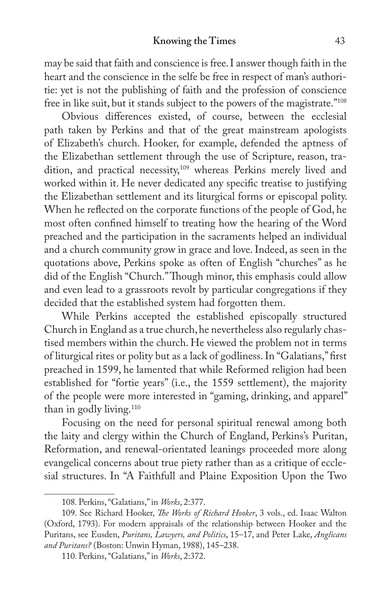#### **Knowing the Times** 43

may be said that faith and conscience is free. I answer though faith in the heart and the conscience in the selfe be free in respect of man's authoritie: yet is not the publishing of faith and the profession of conscience free in like suit, but it stands subject to the powers of the magistrate."108

Obvious differences existed, of course, between the ecclesial path taken by Perkins and that of the great mainstream apologists of Elizabeth's church. Hooker, for example, defended the aptness of the Elizabethan settlement through the use of Scripture, reason, tradition, and practical necessity,<sup>109</sup> whereas Perkins merely lived and worked within it. He never dedicated any specific treatise to justifying the Elizabethan settlement and its liturgical forms or episcopal polity. When he reflected on the corporate functions of the people of God, he most often confined himself to treating how the hearing of the Word preached and the participation in the sacraments helped an individual and a church community grow in grace and love. Indeed, as seen in the quotations above, Perkins spoke as often of English "churches" as he did of the English "Church." Though minor, this emphasis could allow and even lead to a grassroots revolt by particular congregations if they decided that the established system had forgotten them.

While Perkins accepted the established episcopally structured Church in England as a true church, he nevertheless also regularly chastised members within the church. He viewed the problem not in terms of liturgical rites or polity but as a lack of godliness. In "Galatians," first preached in 1599, he lamented that while Reformed religion had been established for "fortie years" (i.e., the 1559 settlement), the majority of the people were more interested in "gaming, drinking, and apparel" than in godly living.<sup>110</sup>

Focusing on the need for personal spiritual renewal among both the laity and clergy within the Church of England, Perkins's Puritan, Reformation, and renewal-orientated leanings proceeded more along evangelical concerns about true piety rather than as a critique of ecclesial structures. In "A Faithfull and Plaine Exposition Upon the Two

<sup>108.</sup> Perkins, "Galatians," in *Works*, 2:377.

<sup>109.</sup> See Richard Hooker, *!e Works of Richard Hooker*, 3 vols., ed. Isaac Walton (Oxford, 1793). For modern appraisals of the relationship between Hooker and the Puritans, see Eusden, *Puritans, Lawyers, and Politics*, 15–17, and Peter Lake, *Anglicans and Puritans?* (Boston: Unwin Hyman, 1988), 145–238.

<sup>110.</sup> Perkins, "Galatians," in *Works*, 2:372.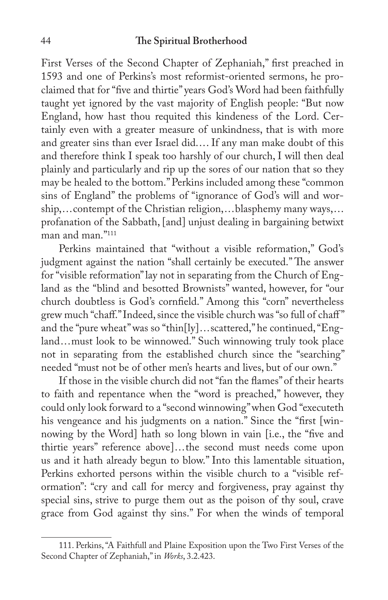First Verses of the Second Chapter of Zephaniah," first preached in 1593 and one of Perkins's most reformist-oriented sermons, he proclaimed that for "five and thirtie" years God's Word had been faithfully taught yet ignored by the vast majority of English people: "But now England, how hast thou requited this kindeness of the Lord. Certainly even with a greater measure of unkindness, that is with more and greater sins than ever Israel did.... If any man make doubt of this and therefore think I speak too harshly of our church, I will then deal plainly and particularly and rip up the sores of our nation that so they may be healed to the bottom." Perkins included among these "common sins of England" the problems of "ignorance of God's will and worship,...contempt of the Christian religion,...blasphemy many ways,... profanation of the Sabbath, [and] unjust dealing in bargaining betwixt man and man."111

Perkins maintained that "without a visible reformation," God's judgment against the nation "shall certainly be executed." The answer for "visible reformation" lay not in separating from the Church of England as the "blind and besotted Brownists" wanted, however, for "our church doubtless is God's cornfield." Among this "corn" nevertheless grew much "chaff." Indeed, since the visible church was "so full of chaff" and the "pure wheat" was so "thin[ly]...scattered," he continued, "England...must look to be winnowed." Such winnowing truly took place not in separating from the established church since the "searching" needed "must not be of other men's hearts and lives, but of our own."

If those in the visible church did not "fan the flames" of their hearts to faith and repentance when the "word is preached," however, they could only look forward to a "second winnowing" when God "executeth his vengeance and his judgments on a nation." Since the "first [winnowing by the Word] hath so long blown in vain [i.e., the "five and thirtie years" reference above]...the second must needs come upon us and it hath already begun to blow." Into this lamentable situation, Perkins exhorted persons within the visible church to a "visible reformation": "cry and call for mercy and forgiveness, pray against thy special sins, strive to purge them out as the poison of thy soul, crave grace from God against thy sins." For when the winds of temporal

<sup>111.</sup> Perkins, "A Faithfull and Plaine Exposition upon the Two First Verses of the Second Chapter of Zephaniah," in *Works*, 3.2.423.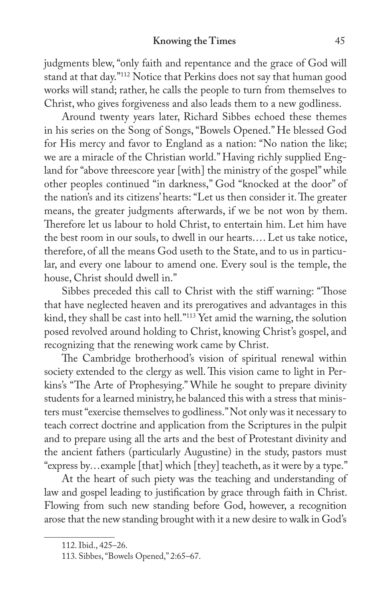judgments blew, "only faith and repentance and the grace of God will stand at that day."112 Notice that Perkins does not say that human good works will stand; rather, he calls the people to turn from themselves to Christ, who gives forgiveness and also leads them to a new godliness.

Around twenty years later, Richard Sibbes echoed these themes in his series on the Song of Songs, "Bowels Opened." He blessed God for His mercy and favor to England as a nation: "No nation the like; we are a miracle of the Christian world." Having richly supplied England for "above threescore year [with] the ministry of the gospel" while other peoples continued "in darkness," God "knocked at the door" of the nation's and its citizens' hearts: "Let us then consider it. The greater means, the greater judgments afterwards, if we be not won by them. Therefore let us labour to hold Christ, to entertain him. Let him have the best room in our souls, to dwell in our hearts.... Let us take notice, therefore, of all the means God useth to the State, and to us in particular, and every one labour to amend one. Every soul is the temple, the house, Christ should dwell in."

Sibbes preceded this call to Christ with the stiff warning: "Those that have neglected heaven and its prerogatives and advantages in this kind, they shall be cast into hell."113 Yet amid the warning, the solution posed revolved around holding to Christ, knowing Christ's gospel, and recognizing that the renewing work came by Christ.

The Cambridge brotherhood's vision of spiritual renewal within society extended to the clergy as well. This vision came to light in Perkins's "The Arte of Prophesying." While he sought to prepare divinity students for a learned ministry, he balanced this with a stress that ministers must "exercise themselves to godliness." Not only was it necessary to teach correct doctrine and application from the Scriptures in the pulpit and to prepare using all the arts and the best of Protestant divinity and the ancient fathers (particularly Augustine) in the study, pastors must "express by...example [that] which [they] teacheth, as it were by a type."

At the heart of such piety was the teaching and understanding of law and gospel leading to justification by grace through faith in Christ. Flowing from such new standing before God, however, a recognition arose that the new standing brought with it a new desire to walk in God's

<sup>112.</sup> Ibid., 425–26.

<sup>113.</sup> Sibbes, "Bowels Opened," 2:65–67.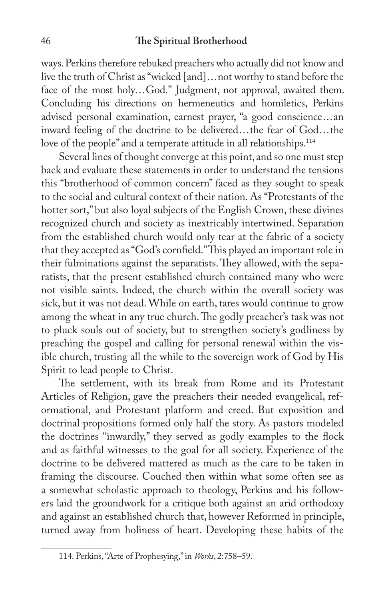ways. Perkins therefore rebuked preachers who actually did not know and live the truth of Christ as "wicked [and]...not worthy to stand before the face of the most holy...God." Judgment, not approval, awaited them. Concluding his directions on hermeneutics and homiletics, Perkins advised personal examination, earnest prayer, "a good conscience...an inward feeling of the doctrine to be delivered...the fear of God...the love of the people" and a temperate attitude in all relationships.<sup>114</sup>

Several lines of thought converge at this point, and so one must step back and evaluate these statements in order to understand the tensions this "brotherhood of common concern" faced as they sought to speak to the social and cultural context of their nation. As "Protestants of the hotter sort," but also loyal subjects of the English Crown, these divines recognized church and society as inextricably intertwined. Separation from the established church would only tear at the fabric of a society that they accepted as "God's cornfield." This played an important role in their fulminations against the separatists. They allowed, with the separatists, that the present established church contained many who were not visible saints. Indeed, the church within the overall society was sick, but it was not dead. While on earth, tares would continue to grow among the wheat in any true church. The godly preacher's task was not to pluck souls out of society, but to strengthen society's godliness by preaching the gospel and calling for personal renewal within the visible church, trusting all the while to the sovereign work of God by His Spirit to lead people to Christ.

The settlement, with its break from Rome and its Protestant Articles of Religion, gave the preachers their needed evangelical, reformational, and Protestant platform and creed. But exposition and doctrinal propositions formed only half the story. As pastors modeled the doctrines "inwardly," they served as godly examples to the flock and as faithful witnesses to the goal for all society. Experience of the doctrine to be delivered mattered as much as the care to be taken in framing the discourse. Couched then within what some often see as a somewhat scholastic approach to theology, Perkins and his followers laid the groundwork for a critique both against an arid orthodoxy and against an established church that, however Reformed in principle, turned away from holiness of heart. Developing these habits of the

<sup>114.</sup> Perkins, "Arte of Prophesying," in *Works*, 2:758–59.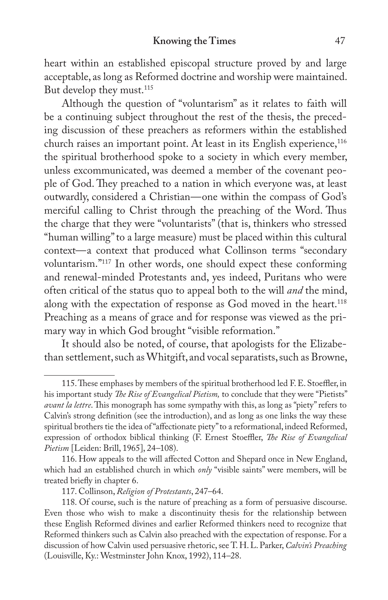heart within an established episcopal structure proved by and large acceptable, as long as Reformed doctrine and worship were maintained. But develop they must.<sup>115</sup>

Although the question of "voluntarism" as it relates to faith will be a continuing subject throughout the rest of the thesis, the preceding discussion of these preachers as reformers within the established church raises an important point. At least in its English experience,<sup>116</sup> the spiritual brotherhood spoke to a society in which every member, unless excommunicated, was deemed a member of the covenant people of God. They preached to a nation in which everyone was, at least outwardly, considered a Christian—one within the compass of God's merciful calling to Christ through the preaching of the Word. Thus the charge that they were "voluntarists" (that is, thinkers who stressed "human willing" to a large measure) must be placed within this cultural context—a context that produced what Collinson terms "secondary voluntarism."117 In other words, one should expect these conforming and renewal-minded Protestants and, yes indeed, Puritans who were often critical of the status quo to appeal both to the will *and* the mind, along with the expectation of response as God moved in the heart.<sup>118</sup> Preaching as a means of grace and for response was viewed as the primary way in which God brought "visible reformation."

It should also be noted, of course, that apologists for the Elizabethan settlement, such as Whitgift, and vocal separatists, such as Browne,

<sup>115.</sup> These emphases by members of the spiritual brotherhood led F. E. Stoeffler, in his important study *The Rise of Evangelical Pietism*, to conclude that they were "Pietists" *avant la lettre*. This monograph has some sympathy with this, as long as "piety" refers to Calvin's strong definition (see the introduction), and as long as one links the way these spiritual brothers tie the idea of "affectionate piety" to a reformational, indeed Reformed, expression of orthodox biblical thinking (F. Ernest Stoeffler, *The Rise of Evangelical Pietism* [Leiden: Brill, 1965], 24–108).

<sup>116.</sup> How appeals to the will affected Cotton and Shepard once in New England, which had an established church in which only "visible saints" were members, will be treated briefly in chapter 6.

<sup>117.</sup> Collinson, *Religion of Protestants*, 247–64.

<sup>118.</sup> Of course, such is the nature of preaching as a form of persuasive discourse. Even those who wish to make a discontinuity thesis for the relationship between these English Reformed divines and earlier Reformed thinkers need to recognize that Reformed thinkers such as Calvin also preached with the expectation of response. For a discussion of how Calvin used persuasive rhetoric, see T. H. L. Parker, *Calvin's Preaching* (Louisville, Ky.: Westminster John Knox, 1992), 114–28.